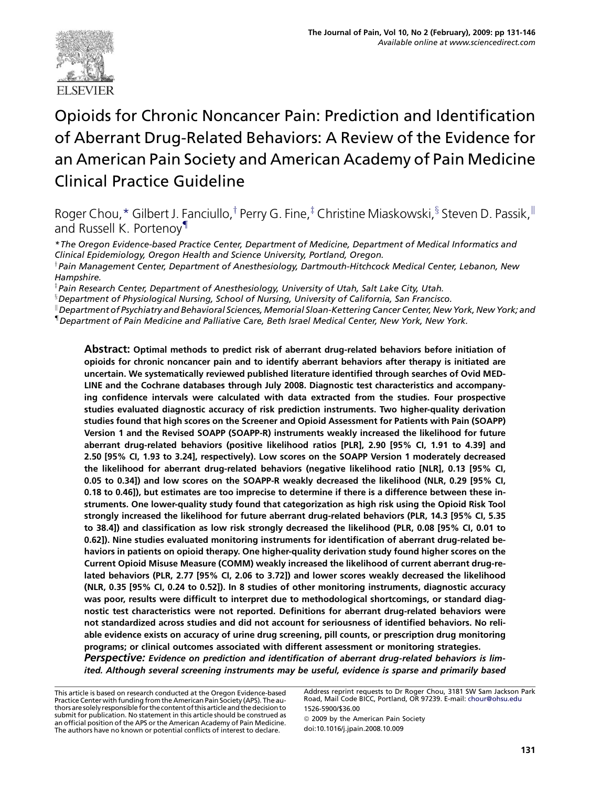

# Opioids for Chronic Noncancer Pain: Prediction and Identification of Aberrant Drug-Related Behaviors: A Review of the Evidence for an American Pain Society and American Academy of Pain Medicine Clinical Practice Guideline

Roger Chou,  $*$  Gilbert J. Fanciullo,  $\dagger$  Perry G. Fine,  $\ddagger$  Christine Miaskowski,  $\frac{8}{3}$  Steven D. Passik,  $\parallel$ and Russell K. Portenoy<sup>¶</sup>

\*The Oregon Evidence-based Practice Center, Department of Medicine, Department of Medical Informatics and Clinical Epidemiology, Oregon Health and Science University, Portland, Oregon.

 $^\dagger$ Pain Management Center, Department of Anesthesiology, Dartmouth-Hitchcock Medical Center, Lebanon, New Hampshire.

 $^\ddagger$ Pain Research Center, Department of Anesthesiology, University of Utah, Salt Lake City, Utah.

 $\mathrm{^{\S}}$ Department of Physiological Nursing, School of Nursing, University of California, San Francisco.

 $^{\parallel}$  Department of Psychiatry and Behavioral Sciences, Memorial Sloan-Kettering Cancer Center, New York, New York; and

{Department of Pain Medicine and Palliative Care, Beth Israel Medical Center, New York, New York.

Abstract: Optimal methods to predict risk of aberrant drug-related behaviors before initiation of opioids for chronic noncancer pain and to identify aberrant behaviors after therapy is initiated are uncertain. We systematically reviewed published literature identified through searches of Ovid MED-LINE and the Cochrane databases through July 2008. Diagnostic test characteristics and accompanying confidence intervals were calculated with data extracted from the studies. Four prospective studies evaluated diagnostic accuracy of risk prediction instruments. Two higher-quality derivation studies found that high scores on the Screener and Opioid Assessment for Patients with Pain (SOAPP) Version 1 and the Revised SOAPP (SOAPP-R) instruments weakly increased the likelihood for future aberrant drug-related behaviors (positive likelihood ratios [PLR], 2.90 [95% CI, 1.91 to 4.39] and 2.50 [95% CI, 1.93 to 3.24], respectively). Low scores on the SOAPP Version 1 moderately decreased the likelihood for aberrant drug-related behaviors (negative likelihood ratio [NLR], 0.13 [95% CI, 0.05 to 0.34]) and low scores on the SOAPP-R weakly decreased the likelihood (NLR, 0.29 [95% CI, 0.18 to 0.46]), but estimates are too imprecise to determine if there is a difference between these instruments. One lower-quality study found that categorization as high risk using the Opioid Risk Tool strongly increased the likelihood for future aberrant drug-related behaviors (PLR, 14.3 [95% CI, 5.35 to 38.4]) and classification as low risk strongly decreased the likelihood (PLR, 0.08 [95% CI, 0.01 to 0.62]). Nine studies evaluated monitoring instruments for identification of aberrant drug-related behaviors in patients on opioid therapy. One higher-quality derivation study found higher scores on the Current Opioid Misuse Measure (COMM) weakly increased the likelihood of current aberrant drug-related behaviors (PLR, 2.77 [95% CI, 2.06 to 3.72]) and lower scores weakly decreased the likelihood (NLR, 0.35 [95% CI, 0.24 to 0.52]). In 8 studies of other monitoring instruments, diagnostic accuracy was poor, results were difficult to interpret due to methodological shortcomings, or standard diagnostic test characteristics were not reported. Definitions for aberrant drug-related behaviors were not standardized across studies and did not account for seriousness of identified behaviors. No reliable evidence exists on accuracy of urine drug screening, pill counts, or prescription drug monitoring programs; or clinical outcomes associated with different assessment or monitoring strategies. Perspective: Evidence on prediction and identification of aberrant drug-related behaviors is limited. Although several screening instruments may be useful, evidence is sparse and primarily based

This article is based on research conducted at the Oregon Evidence-based Practice Center with funding from the American Pain Society (APS). The authors are solely responsible for the content of this article and the decision to submit for publication. No statement in this article should be construed as an official position of the APS or the American Academy of Pain Medicine. The authors have no known or potential conflicts of interest to declare.

Address reprint requests to Dr Roger Chou, 3181 SW Sam Jackson Park Road, Mail Code BICC, Portland, OR 97239. E-mail: [chour@ohsu.edu](mailto:chour@ohsu.edu) 1526-5900/\$36.00

<sup>©</sup> 2009 by the American Pain Society doi:10.1016/j.jpain.2008.10.009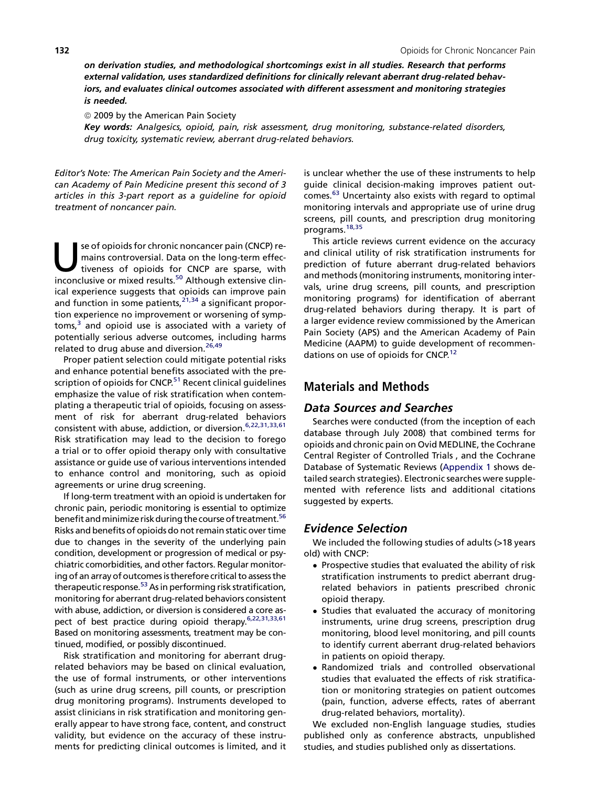on derivation studies, and methodological shortcomings exist in all studies. Research that performs external validation, uses standardized definitions for clinically relevant aberrant drug-related behaviors, and evaluates clinical outcomes associated with different assessment and monitoring strategies is needed.

<sup>©</sup> 2009 by the American Pain Society

Key words: Analgesics, opioid, pain, risk assessment, drug monitoring, substance-related disorders, drug toxicity, systematic review, aberrant drug-related behaviors.

Editor's Note: The American Pain Society and the American Academy of Pain Medicine present this second of 3 articles in this 3-part report as a guideline for opioid treatment of noncancer pain.

Se of opioids for chronic noncancer pain (CNCP) re-<br>
mains controversial. Data on the long-term effec-<br>
tiveness of opioids for CNCP are sparse, with<br>
inconclusive or mixed results <sup>50</sup> Although extensive clinmains controversial. Data on the long-term effecinconclusive or mixed results.<sup>50</sup> Although extensive clinical experience suggests that opioids can improve pain and function in some patients, $2^{1,34}$  a significant proportion experience no improvement or worsening of symp $t$ oms, $3$  and opioid use is associated with a variety of potentially serious adverse outcomes, including harms related to drug abuse and diversion.<sup>[26,49](#page-14-0)</sup>

Proper patient selection could mitigate potential risks and enhance potential benefits associated with the pre-scription of opioids for CNCP.<sup>[51](#page-15-0)</sup> Recent clinical guidelines emphasize the value of risk stratification when contemplating a therapeutic trial of opioids, focusing on assessment of risk for aberrant drug-related behaviors consistent with abuse, addiction, or diversion.<sup>[6,22,31,33,61](#page-14-0)</sup> Risk stratification may lead to the decision to forego a trial or to offer opioid therapy only with consultative assistance or guide use of various interventions intended to enhance control and monitoring, such as opioid agreements or urine drug screening.

If long-term treatment with an opioid is undertaken for chronic pain, periodic monitoring is essential to optimize benefit and minimize risk during the course of treatment.<sup>[56](#page-15-0)</sup> Risks and benefits of opioids do not remain static over time due to changes in the severity of the underlying pain condition, development or progression of medical or psychiatric comorbidities, and other factors. Regular monitoring of an array of outcomes is therefore critical to assess the therapeutic response.<sup>53</sup> As in performing risk stratification, monitoring for aberrant drug-related behaviors consistent with abuse, addiction, or diversion is considered a core as-pect of best practice during opioid therapy.<sup>[6,22,31,33,61](#page-14-0)</sup> Based on monitoring assessments, treatment may be continued, modified, or possibly discontinued.

Risk stratification and monitoring for aberrant drugrelated behaviors may be based on clinical evaluation, the use of formal instruments, or other interventions (such as urine drug screens, pill counts, or prescription drug monitoring programs). Instruments developed to assist clinicians in risk stratification and monitoring generally appear to have strong face, content, and construct validity, but evidence on the accuracy of these instruments for predicting clinical outcomes is limited, and it

is unclear whether the use of these instruments to help guide clinical decision-making improves patient outcomes.[63](#page-15-0) Uncertainty also exists with regard to optimal monitoring intervals and appropriate use of urine drug screens, pill counts, and prescription drug monitoring programs.[18,35](#page-14-0)

This article reviews current evidence on the accuracy and clinical utility of risk stratification instruments for prediction of future aberrant drug-related behaviors and methods (monitoring instruments, monitoring intervals, urine drug screens, pill counts, and prescription monitoring programs) for identification of aberrant drug-related behaviors during therapy. It is part of a larger evidence review commissioned by the American Pain Society (APS) and the American Academy of Pain Medicine (AAPM) to guide development of recommen-dations on use of opioids for CNCP.<sup>[12](#page-14-0)</sup>

## Materials and Methods

#### Data Sources and Searches

Searches were conducted (from the inception of each database through July 2008) that combined terms for opioids and chronic pain on Ovid MEDLINE, the Cochrane Central Register of Controlled Trials , and the Cochrane Database of Systematic Reviews (Appendix 1 shows detailed search strategies). Electronic searches were supplemented with reference lists and additional citations suggested by experts.

## Evidence Selection

We included the following studies of adults (>18 years old) with CNCP:

- Prospective studies that evaluated the ability of risk stratification instruments to predict aberrant drugrelated behaviors in patients prescribed chronic opioid therapy.
- Studies that evaluated the accuracy of monitoring instruments, urine drug screens, prescription drug monitoring, blood level monitoring, and pill counts to identify current aberrant drug-related behaviors in patients on opioid therapy.
- Randomized trials and controlled observational studies that evaluated the effects of risk stratification or monitoring strategies on patient outcomes (pain, function, adverse effects, rates of aberrant drug-related behaviors, mortality).

We excluded non-English language studies, studies published only as conference abstracts, unpublished studies, and studies published only as dissertations.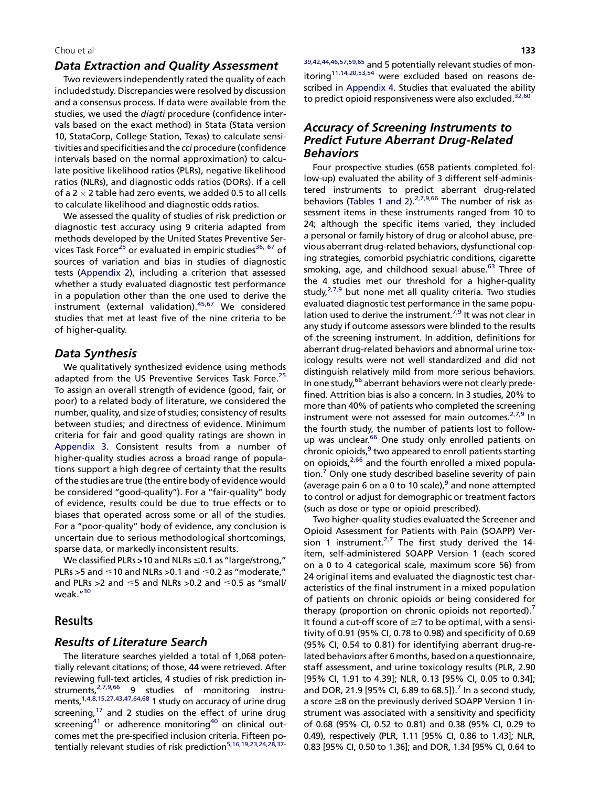#### Data Extraction and Quality Assessment

Two reviewers independently rated the quality of each included study. Discrepancies were resolved by discussion and a consensus process. If data were available from the studies, we used the diagti procedure (confidence intervals based on the exact method) in Stata (Stata version 10, StataCorp, College Station, Texas) to calculate sensitivities and specificities and the cci procedure (confidence intervals based on the normal approximation) to calculate positive likelihood ratios (PLRs), negative likelihood ratios (NLRs), and diagnostic odds ratios (DORs). If a cell of a 2  $\times$  2 table had zero events, we added 0.5 to all cells to calculate likelihood and diagnostic odds ratios.

We assessed the quality of studies of risk prediction or diagnostic test accuracy using 9 criteria adapted from methods developed by the United States Preventive Ser-vices Task Force<sup>[25](#page-14-0)</sup> or evaluated in empiric studies<sup>[36, 67](#page-14-0)</sup> of sources of variation and bias in studies of diagnostic tests (Appendix 2), including a criterion that assessed whether a study evaluated diagnostic test performance in a population other than the one used to derive the instrument (external validation).[45,67](#page-15-0) We considered studies that met at least five of the nine criteria to be of higher-quality.

#### Data Synthesis

We qualitatively synthesized evidence using methods adapted from the US Preventive Services Task Force.<sup>[25](#page-14-0)</sup> To assign an overall strength of evidence (good, fair, or poor) to a related body of literature, we considered the number, quality, and size of studies; consistency of results between studies; and directness of evidence. Minimum criteria for fair and good quality ratings are shown in Appendix 3. Consistent results from a number of higher-quality studies across a broad range of populations support a high degree of certainty that the results of the studies are true (the entire body of evidence would be considered ''good-quality''). For a ''fair-quality'' body of evidence, results could be due to true effects or to biases that operated across some or all of the studies. For a ''poor-quality'' body of evidence, any conclusion is uncertain due to serious methodological shortcomings, sparse data, or markedly inconsistent results.

We classified PLRs >10 and NLRs  $\leq$ 0.1 as "large/strong," PLRs >5 and  $\leq$ 10 and NLRs >0.1 and  $\leq$ 0.2 as "moderate," and PLRs >2 and  $\le$ 5 and NLRs >0.2 and  $\le$ 0.5 as "small/ weak."<sup>30</sup>

#### **Results**

#### Results of Literature Search

The literature searches yielded a total of 1,068 potentially relevant citations; of those, 44 were retrieved. After reviewing full-text articles, 4 studies of risk prediction instruments[,2,7,9,66](#page-13-0) 9 studies of monitoring instruments,<sup>1,4,8,15,27,43,47,64,68</sup> 1 study on accuracy of urine drug screening, $17$  and 2 studies on the effect of urine drug screening<sup>[41](#page-15-0)</sup> or adherence monitoring<sup>40</sup> on clinical outcomes met the pre-specified inclusion criteria. Fifteen potentially relevant studies of risk prediction<sup>5,16,19,23,24,28,37-</sup>

[39,42,44,46,57,59,65](#page-14-0) and 5 potentially relevant studies of mon-itoring<sup>[11,14,20,53,54](#page-14-0)</sup> were excluded based on reasons described in Appendix 4. Studies that evaluated the ability to predict opioid responsiveness were also excluded.<sup>32,60</sup>

## Accuracy of Screening Instruments to Predict Future Aberrant Drug-Related Behaviors

Four prospective studies (658 patients completed follow-up) evaluated the ability of 3 different self-administered instruments to predict aberrant drug-related behaviors ([Tables 1 and 2](#page-3-0)).<sup>[2,7,9,66](#page-13-0)</sup> The number of risk assessment items in these instruments ranged from 10 to 24; although the specific items varied, they included a personal or family history of drug or alcohol abuse, previous aberrant drug-related behaviors, dysfunctional coping strategies, comorbid psychiatric conditions, cigarette smoking, age, and childhood sexual abuse.<sup>63</sup> Three of the 4 studies met our threshold for a higher-quality study, $27,9$  but none met all quality criteria. Two studies evaluated diagnostic test performance in the same popu-lation used to derive the instrument.<sup>[7,9](#page-14-0)</sup> It was not clear in any study if outcome assessors were blinded to the results of the screening instrument. In addition, definitions for aberrant drug-related behaviors and abnormal urine toxicology results were not well standardized and did not distinguish relatively mild from more serious behaviors. In one study,<sup>66</sup> aberrant behaviors were not clearly predefined. Attrition bias is also a concern. In 3 studies, 20% to more than 40% of patients who completed the screening instrument were not assessed for main outcomes. $27,9$  In the fourth study, the number of patients lost to followup was unclear.<sup>66</sup> One study only enrolled patients on chronic opioids,<sup>9</sup> two appeared to enroll patients starting on opioids, $2,66$  and the fourth enrolled a mixed population. $<sup>7</sup>$  Only one study described baseline severity of pain</sup> (average pain 6 on a 0 to 10 scale), $9$  and none attempted to control or adjust for demographic or treatment factors (such as dose or type or opioid prescribed).

Two higher-quality studies evaluated the Screener and Opioid Assessment for Patients with Pain (SOAPP) Ver-sion 1 instrument.<sup>[2,7](#page-13-0)</sup> The first study derived the 14item, self-administered SOAPP Version 1 (each scored on a 0 to 4 categorical scale, maximum score 56) from 24 original items and evaluated the diagnostic test characteristics of the final instrument in a mixed population of patients on chronic opioids or being considered for therapy (proportion on chronic opioids not reported).<sup>[7](#page-14-0)</sup> It found a cut-off score of  $\geq$ 7 to be optimal, with a sensitivity of 0.91 (95% CI, 0.78 to 0.98) and specificity of 0.69 (95% CI, 0.54 to 0.81) for identifying aberrant drug-related behaviors after 6 months, based on a questionnaire, staff assessment, and urine toxicology results (PLR, 2.90 [95% CI, 1.91 to 4.39]; NLR, 0.13 [95% CI, 0.05 to 0.34]; and DOR, 21.9 [95% CI, 6.89 to 68.5]).<sup>[7](#page-14-0)</sup> In a second study, a score  $\geq$ 8 on the previously derived SOAPP Version 1 instrument was associated with a sensitivity and specificity of 0.68 (95% CI, 0.52 to 0.81) and 0.38 (95% CI, 0.29 to 0.49), respectively (PLR, 1.11 [95% CI, 0.86 to 1.43]; NLR, 0.83 [95% CI, 0.50 to 1.36]; and DOR, 1.34 [95% CI, 0.64 to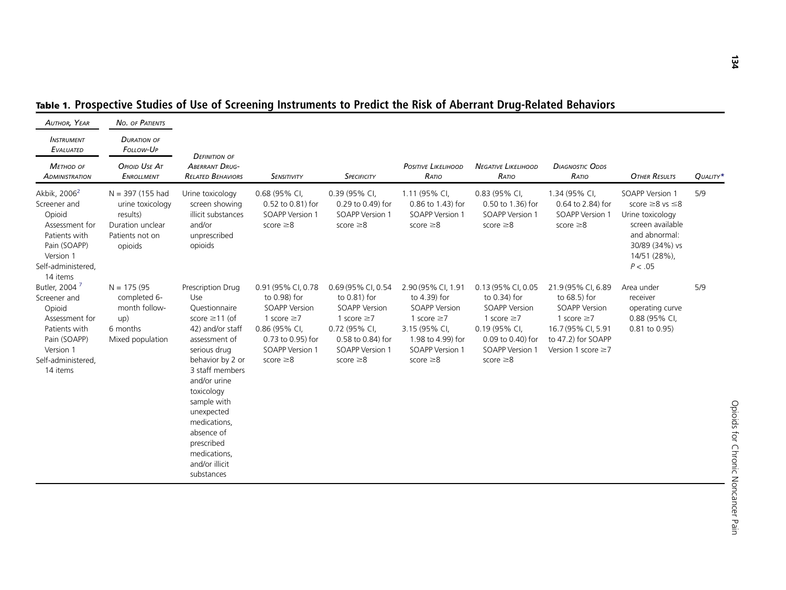| AUTHOR, YEAR                                                                                                                                          | No. OF PATIENTS                                                                                      |                                                                                                                                                                                                                                                                                                                     |                                                                                                                                                                   |                                                                                                                                                                  |                                                                                                                                                                   |                                                                                                                                                           |                                                                                                                                                         |                                                                                                                                                            |          |
|-------------------------------------------------------------------------------------------------------------------------------------------------------|------------------------------------------------------------------------------------------------------|---------------------------------------------------------------------------------------------------------------------------------------------------------------------------------------------------------------------------------------------------------------------------------------------------------------------|-------------------------------------------------------------------------------------------------------------------------------------------------------------------|------------------------------------------------------------------------------------------------------------------------------------------------------------------|-------------------------------------------------------------------------------------------------------------------------------------------------------------------|-----------------------------------------------------------------------------------------------------------------------------------------------------------|---------------------------------------------------------------------------------------------------------------------------------------------------------|------------------------------------------------------------------------------------------------------------------------------------------------------------|----------|
| INSTRUMENT<br><b>EVALUATED</b>                                                                                                                        | <b>DURATION OF</b><br>FOLLOW-UP                                                                      | <b>DEFINITION OF</b>                                                                                                                                                                                                                                                                                                |                                                                                                                                                                   |                                                                                                                                                                  |                                                                                                                                                                   |                                                                                                                                                           |                                                                                                                                                         |                                                                                                                                                            |          |
| <b>METHOD OF</b><br>Administration                                                                                                                    | <b>OPIOID USE AT</b><br><b>ENROLLMENT</b>                                                            | <b>ABERRANT DRUG-</b><br><b>RELATED BEHAVIORS</b>                                                                                                                                                                                                                                                                   | SENSITIVITY                                                                                                                                                       | SPECIFICITY                                                                                                                                                      | <b>POSITIVE LIKELIHOOD</b><br>RATIO                                                                                                                               | <b>NEGATIVE LIKELIHOOD</b><br>RATIO                                                                                                                       | <b>DIAGNOSTIC ODDS</b><br>RATIO                                                                                                                         | <b>OTHER RESULTS</b>                                                                                                                                       | QUALITY* |
| Akbik, 2006 <sup>2</sup><br>Screener and<br>Opioid<br>Assessment for<br>Patients with<br>Pain (SOAPP)<br>Version 1<br>Self-administered,<br>14 items  | $N = 397$ (155 had<br>urine toxicology<br>results)<br>Duration unclear<br>Patients not on<br>opioids | Urine toxicology<br>screen showing<br>illicit substances<br>and/or<br>unprescribed<br>opioids                                                                                                                                                                                                                       | 0.68 (95% CI,<br>0.52 to 0.81) for<br><b>SOAPP Version 1</b><br>score $\geq 8$                                                                                    | 0.39 (95% CI,<br>0.29 to 0.49) for<br><b>SOAPP Version 1</b><br>score $\geq 8$                                                                                   | 1.11 (95% CI,<br>0.86 to 1.43) for<br><b>SOAPP Version 1</b><br>score $\geq 8$                                                                                    | 0.83 (95% CI,<br>0.50 to 1.36) for<br><b>SOAPP Version 1</b><br>score $\geq 8$                                                                            | 1.34 (95% CI,<br>0.64 to 2.84) for<br>SOAPP Version 1<br>score $\geq 8$                                                                                 | <b>SOAPP Version 1</b><br>score $\geq 8$ vs $\leq 8$<br>Urine toxicology<br>screen available<br>and abnormal:<br>30/89 (34%) vs<br>14/51 (28%),<br>P < .05 | 5/9      |
| Butler, 2004 <sup>7</sup><br>Screener and<br>Opioid<br>Assessment for<br>Patients with<br>Pain (SOAPP)<br>Version 1<br>Self-administered,<br>14 items | $N = 175(95)$<br>completed 6-<br>month follow-<br>up)<br>6 months<br>Mixed population                | Prescription Drug<br>Use<br>Questionnaire<br>score $\geq$ 11 (of<br>42) and/or staff<br>assessment of<br>serious drug<br>behavior by 2 or<br>3 staff members<br>and/or urine<br>toxicology<br>sample with<br>unexpected<br>medications,<br>absence of<br>prescribed<br>medications,<br>and/or illicit<br>substances | 0.91 (95% CI, 0.78)<br>to 0.98) for<br><b>SOAPP Version</b><br>1 score $\geq$ 7<br>0.86 (95% CI,<br>0.73 to 0.95) for<br><b>SOAPP Version 1</b><br>score $\geq 8$ | 0.69 (95% CI, 0.54<br>to 0.81) for<br><b>SOAPP Version</b><br>1 score $\geq$ 7<br>0.72 (95% CI,<br>0.58 to 0.84) for<br><b>SOAPP Version 1</b><br>score $\geq 8$ | 2.90 (95% CI, 1.91)<br>to 4.39) for<br><b>SOAPP Version</b><br>1 score $\geq$ 7<br>3.15 (95% CI,<br>1.98 to 4.99) for<br><b>SOAPP Version 1</b><br>score $\geq 8$ | 0.13 (95% CI, 0.05<br>to 0.34) for<br><b>SOAPP Version</b><br>1 score $\geq$ 7<br>0.19 (95% CI,<br>0.09 to 0.40) for<br>SOAPP Version 1<br>score $\geq 8$ | 21.9 (95% CI, 6.89)<br>to 68.5) for<br><b>SOAPP Version</b><br>1 score $\geq 7$<br>16.7 (95% CI, 5.91<br>to 47.2) for SOAPP<br>Version 1 score $\geq 7$ | Area under<br>receiver<br>operating curve<br>0.88 (95% CI,<br>0.81 to 0.95)                                                                                | 5/9      |

## <span id="page-3-0"></span>Table 1. Prospective Studies of Use of Screening Instruments to Predict the Risk of Aberrant Drug-Related Behaviors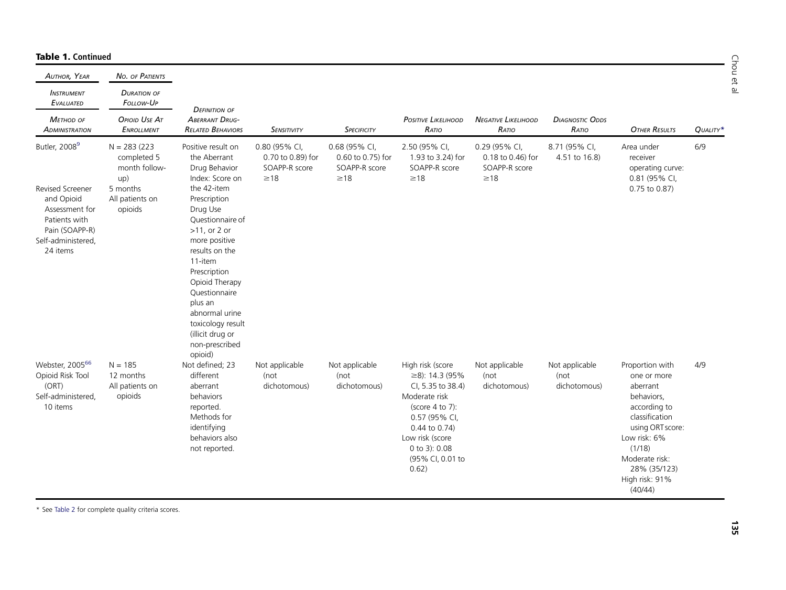#### Table 1. Continued

| AUTHOR, YEAR                                                                                                          | No. OF PATIENTS                                       |                                                                                                                                                                                                                                                       |                                                                  |                                                                  |                                                                                                                                                                                                           |                                                                  |                                        |                                                                                                                                                                                                         |          |
|-----------------------------------------------------------------------------------------------------------------------|-------------------------------------------------------|-------------------------------------------------------------------------------------------------------------------------------------------------------------------------------------------------------------------------------------------------------|------------------------------------------------------------------|------------------------------------------------------------------|-----------------------------------------------------------------------------------------------------------------------------------------------------------------------------------------------------------|------------------------------------------------------------------|----------------------------------------|---------------------------------------------------------------------------------------------------------------------------------------------------------------------------------------------------------|----------|
| INSTRUMENT<br><b>EVALUATED</b>                                                                                        | <b>DURATION OF</b><br>FOLLOW-UP                       | <b>DEFINITION OF</b>                                                                                                                                                                                                                                  |                                                                  |                                                                  |                                                                                                                                                                                                           |                                                                  |                                        |                                                                                                                                                                                                         |          |
| <b>METHOD OF</b><br><b>ADMINISTRATION</b>                                                                             | <b>OPIOID USE AT</b><br><b>ENROLLMENT</b>             | <b>ABERRANT DRUG-</b><br><b>RELATED BEHAVIORS</b>                                                                                                                                                                                                     | <b>SENSITIVITY</b>                                               | SPECIFICITY                                                      | <b>POSITIVE LIKELIHOOD</b><br>RATIO                                                                                                                                                                       | <b>NEGATIVE LIKELIHOOD</b><br>RATIO                              | <b>DIAGNOSTIC ODDS</b><br>RATIO        | <b>OTHER RESULTS</b>                                                                                                                                                                                    | QUALITY* |
| Butler, 2008 <sup>9</sup>                                                                                             | $N = 283(223)$<br>completed 5<br>month follow-<br>up) | Positive result on<br>the Aberrant<br>Drug Behavior<br>Index: Score on                                                                                                                                                                                | 0.80 (95% CI,<br>0.70 to 0.89) for<br>SOAPP-R score<br>$\geq$ 18 | 0.68 (95% CI,<br>0.60 to 0.75) for<br>SOAPP-R score<br>$\geq 18$ | 2.50 (95% CI,<br>1.93 to 3.24) for<br>SOAPP-R score<br>$\geq 18$                                                                                                                                          | 0.29 (95% CI,<br>0.18 to 0.46) for<br>SOAPP-R score<br>$\geq 18$ | 8.71 (95% CI,<br>4.51 to 16.8)         | Area under<br>receiver<br>operating curve:<br>0.81 (95% CI,                                                                                                                                             | 6/9      |
| Revised Screener<br>and Opioid<br>Assessment for<br>Patients with<br>Pain (SOAPP-R)<br>Self-administered,<br>24 items | 5 months<br>All patients on<br>opioids                | the 42-item<br>Prescription<br>Drug Use<br>Questionnaire of<br>$>11$ , or 2 or<br>more positive<br>results on the<br>11-item<br>Prescription<br>Opioid Therapy<br>Questionnaire<br>plus an<br>abnormal urine<br>toxicology result<br>(illicit drug or |                                                                  |                                                                  |                                                                                                                                                                                                           |                                                                  |                                        | $0.75$ to $0.87$ )                                                                                                                                                                                      |          |
| Webster, 2005 <sup>66</sup><br>Opioid Risk Tool<br>(ORT)<br>Self-administered.<br>10 items                            | $N = 185$<br>12 months<br>All patients on<br>opioids  | non-prescribed<br>opioid)<br>Not defined; 23<br>different<br>aberrant<br>behaviors<br>reported.<br>Methods for<br>identifying<br>behaviors also<br>not reported.                                                                                      | Not applicable<br>(not<br>dichotomous)                           | Not applicable<br>(not<br>dichotomous)                           | High risk (score<br>$\geq$ 8): 14.3 (95%<br>CI, 5.35 to 38.4)<br>Moderate risk<br>(score $4$ to $7$ ):<br>0.57 (95% CI,<br>0.44 to 0.74)<br>Low risk (score<br>0 to 3): 0.08<br>(95% CI, 0.01 to<br>0.62) | Not applicable<br>(not<br>dichotomous)                           | Not applicable<br>(not<br>dichotomous) | Proportion with<br>one or more<br>aberrant<br>behaviors,<br>according to<br>classification<br>using ORT score:<br>Low risk: 6%<br>(1/18)<br>Moderate risk:<br>28% (35/123)<br>High risk: 91%<br>(40/44) | 4/9      |

\* See [Table](#page-5-0) 2 for complete quality criteria scores.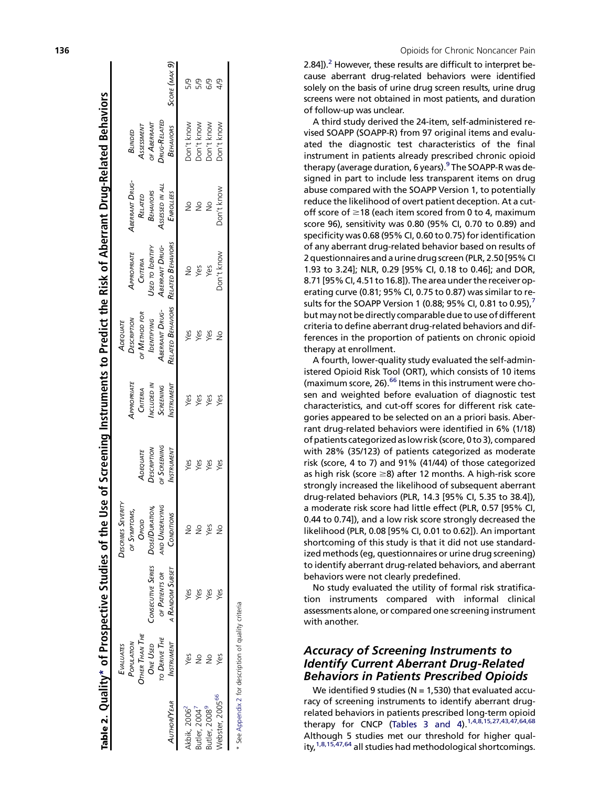<span id="page-5-0"></span>

|                             | EVALUATES                                                 |                                             | <b>DESCRIBES SEVERITY</b>                                  |                                         |                                                                 | ADEQUATE                                                             |                                                               |                                                                  |                                                             |                    |
|-----------------------------|-----------------------------------------------------------|---------------------------------------------|------------------------------------------------------------|-----------------------------------------|-----------------------------------------------------------------|----------------------------------------------------------------------|---------------------------------------------------------------|------------------------------------------------------------------|-------------------------------------------------------------|--------------------|
|                             | OTHER THAN THE<br>ONE USED<br>TO DERIVE THE<br>POPULATION | <b>CONSECUTIVE SERIES</b><br>OF PATIENTS OR | DOSE/DURATION,<br>AND UNDERLYING<br>OF SYMPTOMS,<br>OPIOID | OF SCREENING<br>DESCRIPTION<br>ADEQUATE | APPROPRIATE<br><b>INCLUDED IN</b><br><b>SCREENING</b><br>Сятеяи | ABERRANT DRUG-<br>ОҒ МЕТНОД ҒОЯ<br><b>IDENTIFYING</b><br>DESCRIPTION | ABERRANT DRUG-<br>USED TO IDENTIFY<br>APPROPRIATE<br>CRITERIA | ABERRANT DRUG-<br>ASSESSED IN ALL<br><b>BEHAVIORS</b><br>RELATED | <b>ORUG-RELATED</b><br>OF ABERRANT<br>ASSESSMENT<br>BLINDED |                    |
| <b>AUTHOR/YEAR</b>          | <b>NSTRUMENT</b>                                          | A RANDOM SUBSET                             | CONDITIONS                                                 | <b>INSTRUMENT</b>                       | <b>NSTRUMENT</b>                                                |                                                                      | RELATED BEHAVIORS RELATED BEHAVIORS                           | <b>ENROLLEES</b>                                                 | <b>BEHAVIORS</b>                                            | $Score$ (MAX $9$ ) |
| Akbik, 2006 <sup>2</sup>    |                                                           | Yes                                         |                                                            | yes                                     | Yes                                                             | yes                                                                  |                                                               |                                                                  | Don't know                                                  |                    |
| Butler, 2004 <sup>7</sup>   |                                                           | Yes                                         |                                                            | Ş                                       | Yes                                                             | Ϋ́β                                                                  | yes                                                           | $\frac{1}{2}$                                                    | Jon't know                                                  | 5/9                |
| Butler, 2008 <sup>9</sup>   |                                                           | Yes                                         | Yes                                                        | yes                                     | Yes                                                             | Ýes                                                                  | Yes                                                           | $\frac{1}{2}$                                                    | Don't know                                                  | 6/9                |
| Webster, 2005 <sup>66</sup> | Ϋ́ΡS                                                      | ψŚ                                          |                                                            | Ş                                       | Yes                                                             |                                                                      | Don't know                                                    | Don't know                                                       | Jon't know                                                  |                    |

quality criteria \* See Appendix 2 for description of quality criteria đ description đ Appendix **gee** 

[2](#page-13-0).84]).<sup>2</sup> However, these results are difficult to interpret because aberrant drug-related behaviors were identified solely on the basis of urine drug screen results, urine drug screens were not obtained in most patients, and duration of follow-up was unclear.

A third study derived the 24-item, self-administered revised SOAPP (SOAPP-R) from 97 original items and evaluated the diagnostic test characteristics of the final instrument in patients already prescribed chronic opioid therapy (average duration, 6 years).<sup>[9](#page-14-0)</sup> The SOAPP-R was designed in part to include less transparent items on drug abuse compared with the SOAPP Version 1, to potentially reduce the likelihood of overt patient deception. At a cutoff score of  $\geq$  18 (each item scored from 0 to 4, maximum score 96), sensitivity was 0.80 (95% CI, 0.70 to 0.89) and specificity was 0.68 (95% CI, 0.60 to 0.75) for identification of any aberrant drug-related behavior based on results of 2 questionnaires and a urine drug screen (PLR, 2.50 [95% CI 1.93 to 3.24]; NLR, 0.29 [95% CI, 0.18 to 0.46]; and DOR, 8.71 [95% CI, 4.51 to 16.8]). The area under the receiver operating curve (0.81; 95% CI, 0.75 to 0.87) was similar to results for the SOAPP Version 1 (0.88; 95% CI, 0.81 to 0.95),<sup>7</sup> but may not be directly comparable due to use of different criteria to define aberrant drug-related behaviors and differences in the proportion of patients on chronic opioid therapy at enrollment.

A fourth, lower-quality study evaluated the self-administered Opioid Risk Tool (ORT), which consists of 10 items (maximum score, 26).<sup>66</sup> Items in this instrument were chosen and weighted before evaluation of diagnostic test characteristics, and cut-off scores for different risk categories appeared to be selected on an a priori basis. Aberrant drug-related behaviors were identified in 6% (1/18) of patients categorized aslow risk (score, 0 to 3), compared with 28% (35/123) of patients categorized as moderate risk (score, 4 to 7) and 91% (41/44) of those categorized as high risk (score ≥8) after 12 months. A high-risk score strongly increased the likelihood of subsequent aberrant drug-related behaviors (PLR, 14.3 [95% CI, 5.35 to 38.4]), a moderate risk score had little effect (PLR, 0.57 [95% CI, 0.44 to 0.74]), and a low risk score strongly decreased the likelihood (PLR, 0.08 [95% CI, 0.01 to 0.62]). An important shortcoming of this study is that it did not use standardized methods (eg, questionnaires or urine drug screening) to identify aberrant drug-related behaviors, and aberrant behaviors were not clearly predefined.

No study evaluated the utility of formal risk stratification instruments compared with informal clinical assessments alone, or compared one screening instrument with another.

## Accuracy of Screening Instruments to Identify Current Aberrant Drug-Related Behaviors in Patients Prescribed Opioids

We identified 9 studies ( $N = 1,530$ ) that evaluated accuracy of screening instruments to identify aberrant drugrelated behaviors in patients prescribed long-term opioid therapy for CNCP ([Tables 3 and 4\)](#page-7-0).<sup>1,4,8,15,27,43,47,64,68</sup> Although 5 studies met our threshold for higher quality,<sup>1,8,15,47,64</sup> all studies had methodological shortcomings.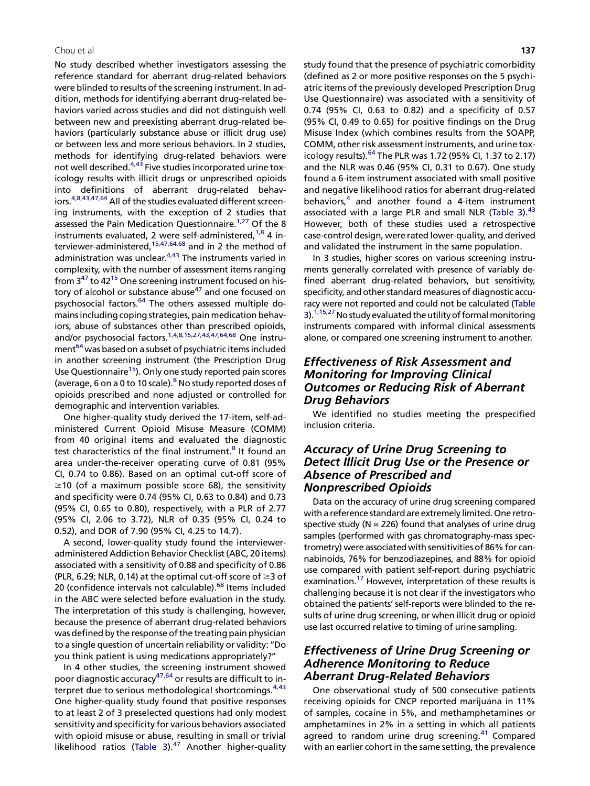#### Chou et al **137**

No study described whether investigators assessing the reference standard for aberrant drug-related behaviors were blinded to results of the screening instrument. In addition, methods for identifying aberrant drug-related behaviors varied across studies and did not distinguish well between new and preexisting aberrant drug-related behaviors (particularly substance abuse or illicit drug use) or between less and more serious behaviors. In 2 studies, methods for identifying drug-related behaviors were not well described.<sup>4,43</sup> Five studies incorporated urine toxicology results with illicit drugs or unprescribed opioids into definitions of aberrant drug-related behaviors.<sup>4,8,43,47,64</sup> All of the studies evaluated different screening instruments, with the exception of 2 studies that assessed the Pain Medication Questionnaire.<sup>[1,27](#page-13-0)</sup> Of the 8 instruments evaluated, 2 were self-administered, <sup>[1,8](#page-13-0)</sup> 4 interviewer-administered,<sup>15,47,64,68</sup> and in 2 the method of administration was unclear. $4,43$  The instruments varied in complexity, with the number of assessment items ranging from  $3^{47}$  $3^{47}$  $3^{47}$  to  $42^{15}$  One screening instrument focused on history of alcohol or substance abuse<sup>47</sup> and one focused on psychosocial factors.<sup>64</sup> The others assessed multiple domains including coping strategies, pain medication behaviors, abuse of substances other than prescribed opioids, and/or psychosocial factors.<sup>1,4,8,15,27,43,47,64,68</sup> One instrument<sup>64</sup> was based on a subset of psychiatric items included in another screening instrument (the Prescription Drug Use Questionnaire<sup>15</sup>). Only one study reported pain scores (average, 6 on a 0 to 10 scale). $8$  No study reported doses of opioids prescribed and none adjusted or controlled for demographic and intervention variables.

One higher-quality study derived the 17-item, self-administered Current Opioid Misuse Measure (COMM) from 40 original items and evaluated the diagnostic test characteristics of the final instrument.<sup>[8](#page-14-0)</sup> It found an area under-the-receiver operating curve of 0.81 (95% CI, 0.74 to 0.86). Based on an optimal cut-off score of  $\geq$ 10 (of a maximum possible score 68), the sensitivity and specificity were 0.74 (95% CI, 0.63 to 0.84) and 0.73 (95% CI, 0.65 to 0.80), respectively, with a PLR of 2.77 (95% CI, 2.06 to 3.72), NLR of 0.35 (95% CI, 0.24 to 0.52), and DOR of 7.90 (95% CI, 4.25 to 14.7).

A second, lower-quality study found the intervieweradministered Addiction Behavior Checklist (ABC, 20 items) associated with a sensitivity of 0.88 and specificity of 0.86 (PLR, 6.29; NLR, 0.14) at the optimal cut-off score of  $\geq$ 3 of 20 (confidence intervals not calculable).<sup>68</sup> Items included in the ABC were selected before evaluation in the study. The interpretation of this study is challenging, however, because the presence of aberrant drug-related behaviors was defined by the response of the treating pain physician to a single question of uncertain reliability or validity: ''Do you think patient is using medications appropriately?''

In 4 other studies, the screening instrument showed poor diagnostic accuracy<sup>[47,64](#page-15-0)</sup> or results are difficult to in-terpret due to serious methodological shortcomings.<sup>[4,43](#page-14-0)</sup> One higher-quality study found that positive responses to at least 2 of 3 preselected questions had only modest sensitivity and specificity for various behaviors associated with opioid misuse or abuse, resulting in small or trivial likelihood ratios [\(Table 3\)](#page-7-0). $47$  Another higher-quality study found that the presence of psychiatric comorbidity (defined as 2 or more positive responses on the 5 psychiatric items of the previously developed Prescription Drug Use Questionnaire) was associated with a sensitivity of 0.74 (95% CI, 0.63 to 0.82) and a specificity of 0.57 (95% CI, 0.49 to 0.65) for positive findings on the Drug Misuse Index (which combines results from the SOAPP, COMM, other risk assessment instruments, and urine toxicology results).  $64$  The PLR was 1.72 (95% CI, 1.37 to 2.17) and the NLR was 0.46 (95% CI, 0.31 to 0.67). One study found a 6-item instrument associated with small positive and negative likelihood ratios for aberrant drug-related behaviors,[4](#page-14-0) and another found a 4-item instrument associated with a large PLR and small NLR [\(Table 3](#page-7-0)). $43$ However, both of these studies used a retrospective case-control design, were rated lower-quality, and derived and validated the instrument in the same population.

In 3 studies, higher scores on various screening instruments generally correlated with presence of variably defined aberrant drug-related behaviors, but sensitivity, specificity, and other standard measures of diagnostic accuracy were not reported and could not be calculated ([Table](#page-7-0) [3\)](#page-7-0).  $1,15,27$  No study evaluated the utility of formal monitoring instruments compared with informal clinical assessments alone, or compared one screening instrument to another.

## Effectiveness of Risk Assessment and Monitoring for Improving Clinical Outcomes or Reducing Risk of Aberrant Drug Behaviors

We identified no studies meeting the prespecified inclusion criteria.

## Accuracy of Urine Drug Screening to Detect Illicit Drug Use or the Presence or Absence of Prescribed and Nonprescribed Opioids

Data on the accuracy of urine drug screening compared with a reference standard are extremely limited. One retrospective study ( $N = 226$ ) found that analyses of urine drug samples (performed with gas chromatography-mass spectrometry) were associated with sensitivities of 86% for cannabinoids, 76% for benzodiazepines, and 88% for opioid use compared with patient self-report during psychiatric examination[.17](#page-14-0) However, interpretation of these results is challenging because it is not clear if the investigators who obtained the patients' self-reports were blinded to the results of urine drug screening, or when illicit drug or opioid use last occurred relative to timing of urine sampling.

## Effectiveness of Urine Drug Screening or Adherence Monitoring to Reduce Aberrant Drug-Related Behaviors

One observational study of 500 consecutive patients receiving opioids for CNCP reported marijuana in 11% of samples, cocaine in 5%, and methamphetamines or amphetamines in 2% in a setting in which all patients agreed to random urine drug screening.<sup>[41](#page-15-0)</sup> Compared with an earlier cohort in the same setting, the prevalence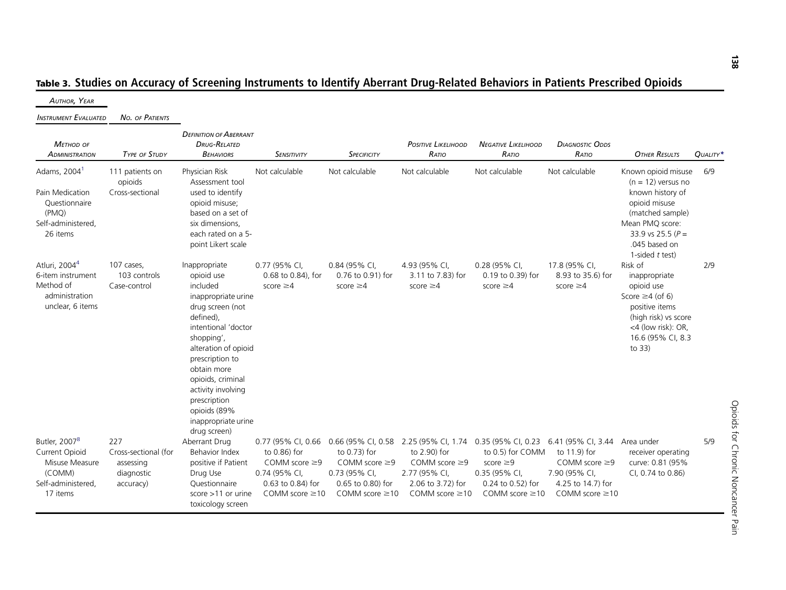## <span id="page-7-0"></span>Table 3. Studies on Accuracy of Screening Instruments to Identify Aberrant Drug-Related Behaviors in Patients Prescribed Opioids

AUTHOR, YEAR

Instrument Evaluated NO. OF PATIENTS

| <b>METHOD OF</b><br><b>ADMINISTRATION</b>                                                                 | TYPE OF STUDY                                                       | <b>DEFINITION OF ABERRANT</b><br><b>DRUG-RELATED</b><br><b>BEHAVIORS</b>                                                                                                                                                                                                                                         | SENSITIVITY                                                                                                             | SPECIFICITY                                                                                                             | <b>POSITIVE LIKELIHOOD</b><br>RATIO                                                               | <b>NEGATIVE LIKELIHOOD</b><br>RATIO                                                                                                                          | <b>DIAGNOSTIC ODDS</b><br>RATIO                                                                   | <b>OTHER RESULTS</b>                                                                                                                                                                  | QUALITY* |
|-----------------------------------------------------------------------------------------------------------|---------------------------------------------------------------------|------------------------------------------------------------------------------------------------------------------------------------------------------------------------------------------------------------------------------------------------------------------------------------------------------------------|-------------------------------------------------------------------------------------------------------------------------|-------------------------------------------------------------------------------------------------------------------------|---------------------------------------------------------------------------------------------------|--------------------------------------------------------------------------------------------------------------------------------------------------------------|---------------------------------------------------------------------------------------------------|---------------------------------------------------------------------------------------------------------------------------------------------------------------------------------------|----------|
| Adams, 2004 <sup>1</sup><br>Pain Medication<br>Questionnaire<br>(PMO)<br>Self-administered,<br>26 items   | 111 patients on<br>opioids<br>Cross-sectional                       | Physician Risk<br>Assessment tool<br>used to identify<br>opioid misuse;<br>based on a set of<br>six dimensions,<br>each rated on a 5-<br>point Likert scale                                                                                                                                                      | Not calculable                                                                                                          | Not calculable                                                                                                          | Not calculable                                                                                    | Not calculable                                                                                                                                               | Not calculable                                                                                    | Known opioid misuse<br>$(n = 12)$ versus no<br>known history of<br>opioid misuse<br>(matched sample)<br>Mean PMQ score:<br>33.9 vs 25.5 ( $P =$<br>.045 based on<br>1-sided $t$ test) | 6/9      |
| Atluri, 2004 <sup>4</sup><br>6-item instrument<br>Method of<br>administration<br>unclear, 6 items         | 107 cases,<br>103 controls<br>Case-control                          | Inappropriate<br>opioid use<br>included<br>inappropriate urine<br>drug screen (not<br>defined),<br>intentional 'doctor<br>shopping',<br>alteration of opioid<br>prescription to<br>obtain more<br>opioids, criminal<br>activity involving<br>prescription<br>opioids (89%<br>inappropriate urine<br>drug screen) | 0.77 (95% CI,<br>0.68 to 0.84), for<br>score $\geq 4$                                                                   | 0.84 (95% CI,<br>0.76 to 0.91) for<br>score $\geq 4$                                                                    | 4.93 (95% CI,<br>3.11 to 7.83) for<br>score $\geq 4$                                              | 0.28 (95% CI,<br>0.19 to 0.39) for<br>score $\geq 4$                                                                                                         | 17.8 (95% CI,<br>8.93 to 35.6) for<br>score $\geq 4$                                              | Risk of<br>inappropriate<br>opioid use<br>Score $\geq$ 4 (of 6)<br>positive items<br>(high risk) vs score<br><4 (low risk): OR,<br>16.6 (95% CI, 8.3<br>to $33)$                      | 2/9      |
| Butler, 2007 <sup>8</sup><br>Current Opioid<br>Misuse Measure<br>(COMM)<br>Self-administered,<br>17 items | 227<br>Cross-sectional (for<br>assessing<br>diagnostic<br>accuracy) | Aberrant Drug<br>Behavior Index<br>positive if Patient<br>Drug Use<br>Ouestionnaire<br>score $>11$ or urine<br>toxicology screen                                                                                                                                                                                 | 0.77 (95% CI, 0.66<br>to 0.86) for<br>COMM score $\geq$ 9<br>0.74 (95% CI,<br>0.63 to 0.84) for<br>COMM score $\geq$ 10 | 0.66 (95% CI, 0.58<br>to 0.73) for<br>COMM score $\geq$ 9<br>0.73 (95% CI,<br>0.65 to 0.80) for<br>COMM score $\geq$ 10 | to 2.90) for<br>COMM score $\geq$ 9<br>2.77 (95% CI,<br>2.06 to 3.72) for<br>COMM score $\geq$ 10 | 2.25 (95% CI, 1.74 0.35 (95% CI, 0.23 6.41 (95% CI, 3.44<br>to 0.5) for COMM<br>score $\geq$ 9<br>0.35 (95% CI,<br>0.24 to 0.52) for<br>COMM score $\geq$ 10 | to 11.9) for<br>COMM score $\geq$ 9<br>7.90 (95% CI,<br>4.25 to 14.7) for<br>COMM score $\geq$ 10 | Area under<br>receiver operating<br>curve: 0.81 (95%<br>CI, 0.74 to 0.86)                                                                                                             | 5/9      |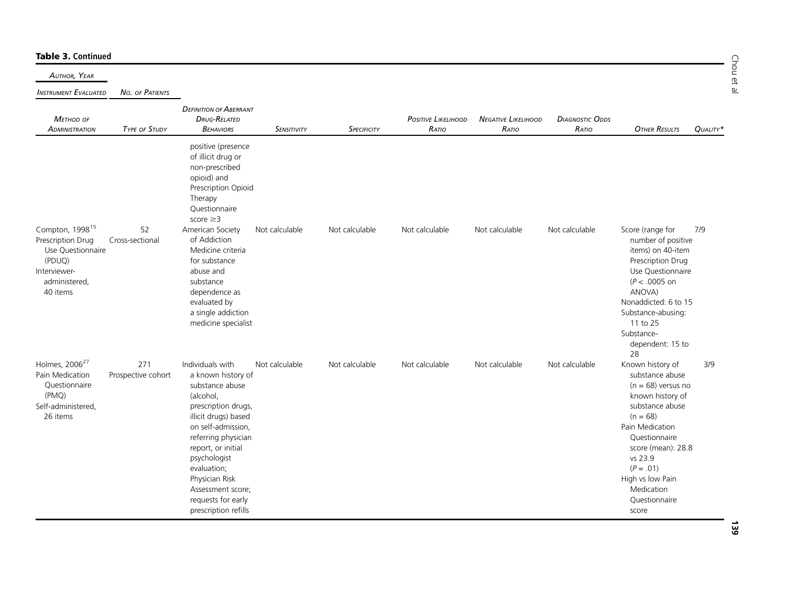| AUTHOR, YEAR                                                                                                                 |                           |                                                                                                                                                                                                                                                                                                              |                    |                |                                     |                                     |                                 |                                                                                                                                                                                                                                                                |          |
|------------------------------------------------------------------------------------------------------------------------------|---------------------------|--------------------------------------------------------------------------------------------------------------------------------------------------------------------------------------------------------------------------------------------------------------------------------------------------------------|--------------------|----------------|-------------------------------------|-------------------------------------|---------------------------------|----------------------------------------------------------------------------------------------------------------------------------------------------------------------------------------------------------------------------------------------------------------|----------|
| <b>INSTRUMENT EVALUATED</b>                                                                                                  | No. of PATIENTS           |                                                                                                                                                                                                                                                                                                              |                    |                |                                     |                                     |                                 |                                                                                                                                                                                                                                                                |          |
| <b>METHOD OF</b><br><b>ADMINISTRATION</b>                                                                                    | TYPE OF STUDY             | <b>DEFINITION OF ABERRANT</b><br><b>DRUG-RELATED</b><br><b>BEHAVIORS</b>                                                                                                                                                                                                                                     | <b>SENSITIVITY</b> | SPECIFICITY    | <b>POSITIVE LIKELIHOOD</b><br>RATIO | <b>NEGATIVE LIKELIHOOD</b><br>RATIO | <b>DIAGNOSTIC ODDS</b><br>RATIO | <b>OTHER RESULTS</b>                                                                                                                                                                                                                                           | QUALITY* |
|                                                                                                                              |                           | positive (presence<br>of illicit drug or<br>non-prescribed<br>opioid) and<br>Prescription Opioid<br>Therapy<br>Ouestionnaire<br>score $\geq$ 3                                                                                                                                                               |                    |                |                                     |                                     |                                 |                                                                                                                                                                                                                                                                |          |
| Compton, 1998 <sup>15</sup><br>Prescription Drug<br>Use Questionnaire<br>(PDUQ)<br>Interviewer-<br>administered.<br>40 items | 52<br>Cross-sectional     | American Society<br>of Addiction<br>Medicine criteria<br>for substance<br>abuse and<br>substance<br>dependence as<br>evaluated by<br>a single addiction<br>medicine specialist                                                                                                                               | Not calculable     | Not calculable | Not calculable                      | Not calculable                      | Not calculable                  | Score (range for<br>number of positive<br>items) on 40-item<br>Prescription Drug<br>Use Questionnaire<br>$(P < .0005$ on<br>ANOVA)<br>Nonaddicted: 6 to 15<br>Substance-abusing:<br>11 to 25<br>Substance-<br>dependent: 15 to<br>28                           | 7/9      |
| Holmes, 2006 <sup>27</sup><br>Pain Medication<br>Questionnaire<br>(PMQ)<br>Self-administered,<br>26 items                    | 271<br>Prospective cohort | Individuals with<br>a known history of<br>substance abuse<br>(alcohol,<br>prescription drugs,<br>illicit drugs) based<br>on self-admission,<br>referring physician<br>report, or initial<br>psychologist<br>evaluation;<br>Physician Risk<br>Assessment score;<br>requests for early<br>prescription refills | Not calculable     | Not calculable | Not calculable                      | Not calculable                      | Not calculable                  | Known history of<br>substance abuse<br>$(n = 68)$ versus no<br>known history of<br>substance abuse<br>$(n = 68)$<br>Pain Medication<br>Questionnaire<br>score (mean): 28.8<br>vs 23.9<br>$(P=.01)$<br>High vs low Pain<br>Medication<br>Questionnaire<br>score | 3/9      |

#### Table 3. Continued

Chou et al

139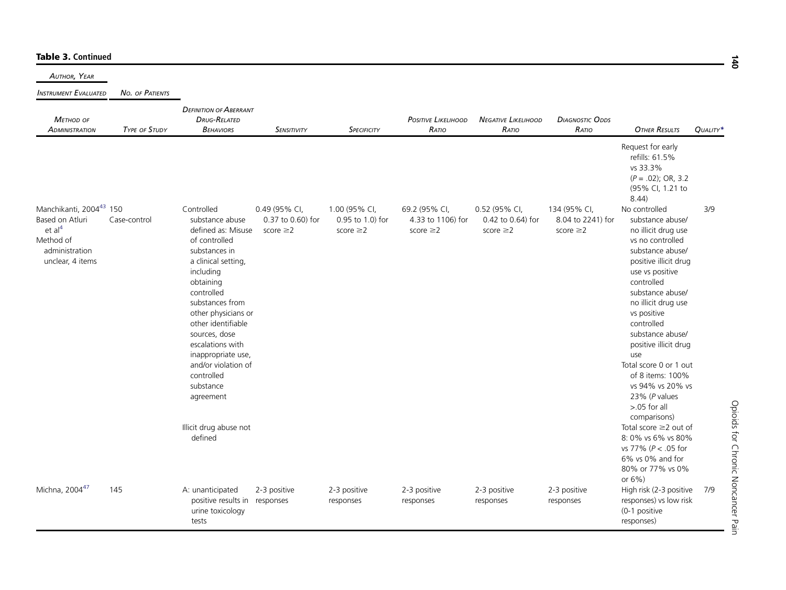|  | <b>Table 3. Continued</b> |
|--|---------------------------|

AUTHOR, YEAR

INSTRUMENT EVALUATEDNO. OF PATIENTS

| <b>METHOD OF</b><br><b>ADMINISTRATION</b>                                                                           | TYPE OF STUDY | <b>DEFINITION OF ABERRANT</b><br><b>DRUG-RELATED</b><br><b>BEHAVIORS</b>                                                                                                                                                                                                                                                                                                            | <b>SENSITIVITY</b>                                   | SPECIFICITY                                         | <b>POSITIVE LIKELIHOOD</b><br>RATIO                  | <b>NEGATIVE LIKELIHOOD</b><br>RATIO                  | <b>DIAGNOSTIC ODDS</b><br>RATIO                     | <b>OTHER RESULTS</b>                                                                                                                                                                                                                                                                                                                                                                                                                                                                                                                          | QUALITY* |
|---------------------------------------------------------------------------------------------------------------------|---------------|-------------------------------------------------------------------------------------------------------------------------------------------------------------------------------------------------------------------------------------------------------------------------------------------------------------------------------------------------------------------------------------|------------------------------------------------------|-----------------------------------------------------|------------------------------------------------------|------------------------------------------------------|-----------------------------------------------------|-----------------------------------------------------------------------------------------------------------------------------------------------------------------------------------------------------------------------------------------------------------------------------------------------------------------------------------------------------------------------------------------------------------------------------------------------------------------------------------------------------------------------------------------------|----------|
|                                                                                                                     |               |                                                                                                                                                                                                                                                                                                                                                                                     |                                                      |                                                     |                                                      |                                                      |                                                     | Request for early<br>refills: 61.5%<br>vs 33.3%<br>$(P = .02)$ ; OR, 3.2<br>(95% Cl, 1.21 to<br>8.44                                                                                                                                                                                                                                                                                                                                                                                                                                          |          |
| Manchikanti, 200443 150<br>Based on Atluri<br>et al <sup>4</sup><br>Method of<br>administration<br>unclear, 4 items | Case-control  | Controlled<br>substance abuse<br>defined as: Misuse<br>of controlled<br>substances in<br>a clinical setting,<br>including<br>obtaining<br>controlled<br>substances from<br>other physicians or<br>other identifiable<br>sources, dose<br>escalations with<br>inappropriate use,<br>and/or violation of<br>controlled<br>substance<br>agreement<br>Illicit drug abuse not<br>defined | 0.49 (95% CI,<br>0.37 to 0.60) for<br>score $\geq$ 2 | 1.00 (95% CI,<br>0.95 to 1.0) for<br>score $\geq$ 2 | 69.2 (95% CI,<br>4.33 to 1106) for<br>score $\geq$ 2 | 0.52 (95% CI,<br>0.42 to 0.64) for<br>score $\geq$ 2 | 134 (95% CI,<br>8.04 to 2241) for<br>score $\geq$ 2 | No controlled<br>substance abuse/<br>no illicit drug use<br>vs no controlled<br>substance abuse/<br>positive illicit drug<br>use vs positive<br>controlled<br>substance abuse/<br>no illicit drug use<br>vs positive<br>controlled<br>substance abuse/<br>positive illicit drug<br>use<br>Total score 0 or 1 out<br>of 8 items: 100%<br>vs 94% vs 20% vs<br>23% (P values<br>$>0.05$ for all<br>comparisons)<br>Total score $\geq$ 2 out of<br>8:0% vs 6% vs 80%<br>vs 77% (P < .05 for<br>6% vs 0% and for<br>80% or 77% vs 0%<br>or $6\%$ ) | 3/9      |
| Michna, 200447                                                                                                      | 145           | A: unanticipated<br>positive results in responses<br>urine toxicology<br>tests                                                                                                                                                                                                                                                                                                      | 2-3 positive                                         | 2-3 positive<br>responses                           | 2-3 positive<br>responses                            | 2-3 positive<br>responses                            | 2-3 positive<br>responses                           | High risk (2-3 positive<br>responses) vs low risk<br>(0-1 positive<br>responses)                                                                                                                                                                                                                                                                                                                                                                                                                                                              | 7/9      |

140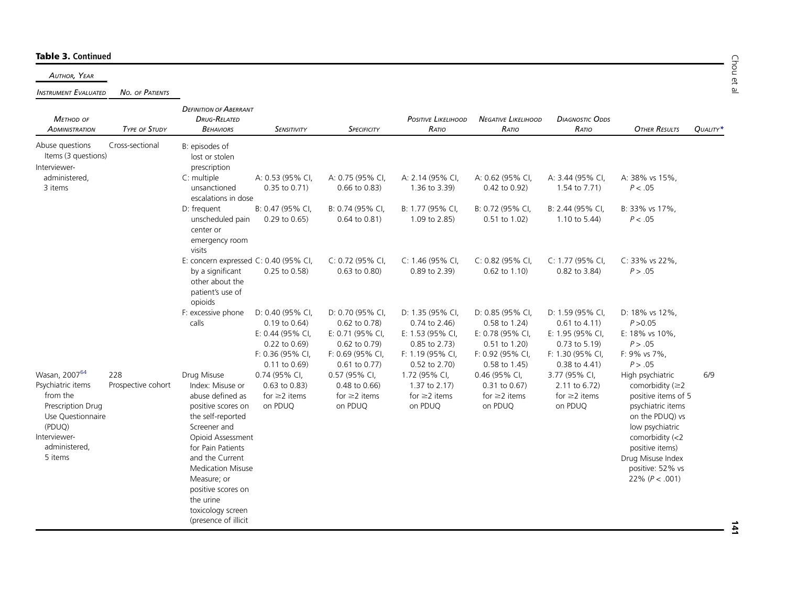#### Table 3. Continued

AUTHOR, YEAR

INSTRUMENT EVALUATEDNO. OF PATIENTS

| <b>METHOD OF</b><br><b>ADMINISTRATION</b>                                                                                                                  | TYPE OF STUDY             | <b>DEFINITION OF ABERRANT</b><br><b>DRUG-RELATED</b><br><b>BEHAVIORS</b>                                                                                                                                                                                                                               | <b>SENSITIVITY</b>                                                                                                    | SPECIFICITY                                                                                                           | <b>POSITIVE LIKELIHOOD</b><br>RATIO                                                                         | <b>NEGATIVE LIKELIHOOD</b><br>RATIO                                                                                   | <b>DIAGNOSTIC ODDS</b><br>RATIO                                                                                         | <b>OTHER RESULTS</b>                                                                                                                                                                                                       | QUALITY* |
|------------------------------------------------------------------------------------------------------------------------------------------------------------|---------------------------|--------------------------------------------------------------------------------------------------------------------------------------------------------------------------------------------------------------------------------------------------------------------------------------------------------|-----------------------------------------------------------------------------------------------------------------------|-----------------------------------------------------------------------------------------------------------------------|-------------------------------------------------------------------------------------------------------------|-----------------------------------------------------------------------------------------------------------------------|-------------------------------------------------------------------------------------------------------------------------|----------------------------------------------------------------------------------------------------------------------------------------------------------------------------------------------------------------------------|----------|
| Abuse questions<br>Items (3 questions)<br>Interviewer-                                                                                                     | Cross-sectional           | B: episodes of<br>lost or stolen<br>prescription                                                                                                                                                                                                                                                       |                                                                                                                       |                                                                                                                       |                                                                                                             |                                                                                                                       |                                                                                                                         |                                                                                                                                                                                                                            |          |
| administered.<br>3 items                                                                                                                                   |                           | C: multiple<br>unsanctioned<br>escalations in dose                                                                                                                                                                                                                                                     | A: 0.53 (95% CI,<br>$0.35$ to $0.71$ )                                                                                | A: 0.75 (95% CI,<br>$0.66$ to $0.83$ )                                                                                | A: 2.14 (95% CI,<br>1.36 to 3.39)                                                                           | A: 0.62 (95% CI,<br>$0.42$ to $0.92$ )                                                                                | A: 3.44 (95% CI,<br>1.54 to 7.71)                                                                                       | A: 38% vs 15%,<br>P < .05                                                                                                                                                                                                  |          |
|                                                                                                                                                            |                           | D: frequent<br>unscheduled pain<br>center or<br>emergency room<br>visits                                                                                                                                                                                                                               | B: 0.47 (95% CI,<br>$0.29$ to $0.65$ )                                                                                | B: 0.74 (95% CI,<br>$0.64$ to $0.81$ )                                                                                | B: 1.77 (95% CI,<br>1.09 to 2.85)                                                                           | B: 0.72 (95% CI,<br>$0.51$ to $1.02$ )                                                                                | B: 2.44 (95% CI,<br>1.10 to $5.44$ )                                                                                    | B: 33% vs 17%,<br>P < .05                                                                                                                                                                                                  |          |
|                                                                                                                                                            |                           | E: concern expressed C: 0.40 (95% CI,<br>by a significant<br>other about the<br>patient's use of<br>opioids                                                                                                                                                                                            | $0.25$ to $0.58$ )                                                                                                    | C: 0.72 (95% CI,<br>$0.63$ to $0.80$ )                                                                                | C: 1.46 (95% CI,<br>0.89 to 2.39)                                                                           | C: 0.82 (95% CI,<br>$0.62$ to $1.10$ )                                                                                | C: 1.77 (95% CI,<br>0.82 to 3.84)                                                                                       | C: 33% vs 22%,<br>P > .05                                                                                                                                                                                                  |          |
|                                                                                                                                                            |                           | F: excessive phone<br>calls                                                                                                                                                                                                                                                                            | D: 0.40 (95% CI,<br>$0.19$ to $0.64$ )<br>E: 0.44 (95% CI,<br>0.22 to 0.69)<br>F: 0.36 (95% CI,<br>$0.11$ to $0.69$ ) | D: 0.70 (95% CI,<br>$0.62$ to $0.78$ )<br>E: 0.71 (95% CI,<br>0.62 to 0.79)<br>F: 0.69 (95% CI,<br>$0.61$ to $0.77$ ) | D: 1.35 (95% CI,<br>0.74 to 2.46)<br>E: 1.53 (95% CI,<br>0.85 to 2.73)<br>F: 1.19 (95% CI,<br>0.52 to 2.70) | D: 0.85 (95% CI,<br>0.58 to 1.24)<br>E: 0.78 (95% CI,<br>$0.51$ to $1.20$ )<br>F: 0.92 (95% CI,<br>$0.58$ to $1.45$ ) | D: 1.59 (95% CI,<br>$0.61$ to $4.11$ )<br>E: 1.95 (95% CI,<br>$0.73$ to 5.19)<br>F: 1.30 (95% CI,<br>$0.38$ to $4.41$ ) | D: 18% vs 12%,<br>P > 0.05<br>E: 18% vs 10%,<br>P > .05<br>F: 9% vs 7%,<br>P > .05                                                                                                                                         |          |
| Wasan, 2007 <sup>64</sup><br>Psychiatric items<br>from the<br>Prescription Drug<br>Use Questionnaire<br>(PDUQ)<br>Interviewer-<br>administered,<br>5 items | 228<br>Prospective cohort | Drug Misuse<br>Index: Misuse or<br>abuse defined as<br>positive scores on<br>the self-reported<br>Screener and<br>Opioid Assessment<br>for Pain Patients<br>and the Current<br><b>Medication Misuse</b><br>Measure; or<br>positive scores on<br>the urine<br>toxicology screen<br>(presence of illicit | 0.74 (95% CI,<br>$0.63$ to $0.83$ )<br>for $\geq$ 2 items<br>on PDUQ                                                  | 0.57 (95% CI,<br>$0.48$ to $0.66$ )<br>for $\geq$ 2 items<br>on PDUQ                                                  | 1.72 (95% CI,<br>1.37 to 2.17)<br>for $\geq$ 2 items<br>on PDUQ                                             | 0.46 (95% CI,<br>$0.31$ to $0.67$ )<br>for $\geq$ 2 items<br>on PDUQ                                                  | 3.77 (95% CI,<br>$2.11$ to 6.72)<br>for $\geq$ 2 items<br>on PDUQ                                                       | High psychiatric<br>comorbidity (≥2<br>positive items of 5<br>psychiatric items<br>on the PDUQ) vs<br>low psychiatric<br>comorbidity (<2<br>positive items)<br>Drug Misuse Index<br>positive: 52% vs<br>22% ( $P < .001$ ) | 6/9      |

Chou et al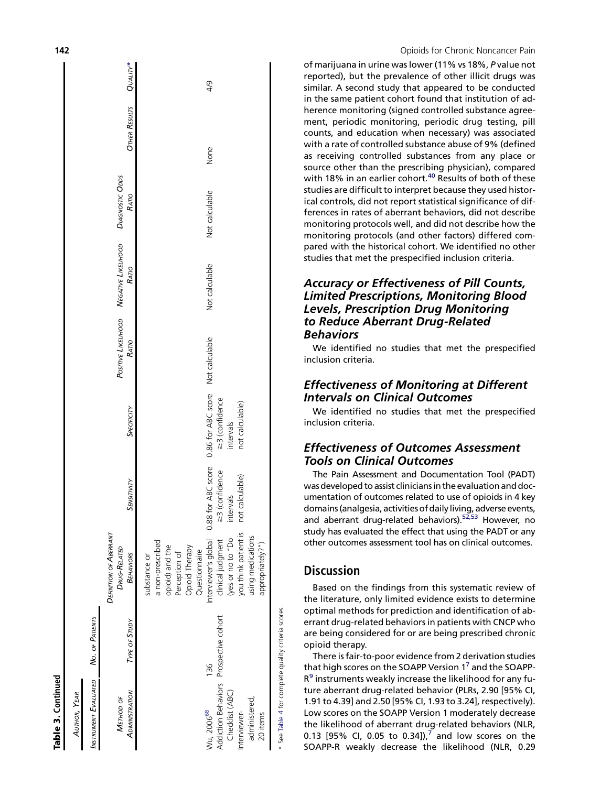| r |
|---|
| d |
|   |
| T |
|   |

|              |                                      |                                                                   | 49                                                                                                                                                                                                                                        |
|--------------|--------------------------------------|-------------------------------------------------------------------|-------------------------------------------------------------------------------------------------------------------------------------------------------------------------------------------------------------------------------------------|
|              |                                      | OTHER RESULTS QUALITY*                                            | None                                                                                                                                                                                                                                      |
|              |                                      | <b>DIAGNOSTIC ODDS</b><br>RATIO                                   | Not calculable                                                                                                                                                                                                                            |
|              |                                      | POSITIVE LIKELIHOOD NEGATIVE LIKELIHOOD<br>RATIO                  | Not calculable                                                                                                                                                                                                                            |
|              |                                      | RATIO                                                             |                                                                                                                                                                                                                                           |
|              |                                      | SPECIFICITY                                                       | 0.88 for ABC score 0.86 for ABC score Not calculable<br>=3 (confidence<br>not calculable)<br>intervals                                                                                                                                    |
|              |                                      | SENSITIVITY                                                       | =3 (confidence<br>not calculable)<br>intervals                                                                                                                                                                                            |
|              |                                      | <b>DEFINITION OF ABERRANT</b><br>DRUG-RELATED<br><b>BEHAVIORS</b> | you think patient is<br>using medications<br>yes or no to "Do<br>Interviewer's global<br>clinical judgment<br>a non-prescribed<br>appropriately?")<br>opioid) and the<br>Opioid Therapy<br>Questionnaire<br>Perception of<br>substance or |
|              |                                      | TYPE OF STUDY                                                     | 136                                                                                                                                                                                                                                       |
| AUTHOR, YEAR | INSTRUMENT EVALUATED NO. OF PATIENTS | ADMINISTRATION<br>Метнор оғ                                       | Addiction Behaviors Prospective cohort<br>Checklist (ABC)<br>administered,<br>Wu, 2006 <sup>68</sup><br>nterviewer-<br>20 items                                                                                                           |

**142 Community Community Community** Community Community Community Controller Chronic Noncancer Pain

of marijuana in urine was lower (11% vs 18%, P value not reported), but the prevalence of other illicit drugs was similar. A second study that appeared to be conducted in the same patient cohort found that institution of adherence monitoring (signed controlled substance agreement, periodic monitoring, periodic drug testing, pill counts, and education when necessary) was associated with a rate of controlled substance abuse of 9% (defined as receiving controlled substances from any place or source other than the prescribing physician), compared with 18% in an earlier cohort.<sup>[40](#page-15-0)</sup> Results of both of these studies are difficult to interpret because they used historical controls, did not report statistical significance of differences in rates of aberrant behaviors, did not describe monitoring protocols well, and did not describe how the monitoring protocols (and other factors) differed compared with the historical cohort. We identified no other studies that met the prespecified inclusion criteria.

## Accuracy or Effectiveness of Pill Counts, Limited Prescriptions, Monitoring Blood Levels, Prescription Drug Monitoring to Reduce Aberrant Drug-Related Behaviors

We identified no studies that met the prespecified inclusion criteria.

## Effectiveness of Monitoring at Different Intervals on Clinical Outcomes

We identified no studies that met the prespecified inclusion criteria.

## Effectiveness of Outcomes Assessment Tools on Clinical Outcomes

The Pain Assessment and Documentation Tool (PADT) was developed to assist clinicians in the evaluation and documentation of outcomes related to use of opioids in 4 key domains (analgesia, activities of daily living, adverse events, and aberrant drug-related behaviors). $52,53$  However, no study has evaluated the effect that using the PADT or any other outcomes assessment tool has on clinical outcomes.

## **Discussion**

\* See [Table](#page-12-0) 4 for complete quality criteria scores.

See Table 4 for complete quality criteria scores

Based on the findings from this systematic review of the literature, only limited evidence exists to determine optimal methods for prediction and identification of aberrant drug-related behaviors in patients with CNCP who are being considered for or are being prescribed chronic opioid therapy.

There is fair-to-poor evidence from 2 derivation studies that high scores on the SOAPP Version 1<sup>[7](#page-14-0)</sup> and the SOAPP- $R<sup>9</sup>$  instruments weakly increase the likelihood for any future aberrant drug-related behavior (PLRs, 2.90 [95% CI, 1.91 to 4.39] and 2.50 [95% CI, 1.93 to 3.24], respectively). Low scores on the SOAPP Version 1 moderately decrease the likelihood of aberrant drug-related behaviors (NLR, 0.13 [95% CI, 0.05 to 0.34]),<sup>[7](#page-14-0)</sup> and low scores on the SOAPP-R weakly decrease the likelihood (NLR, 0.29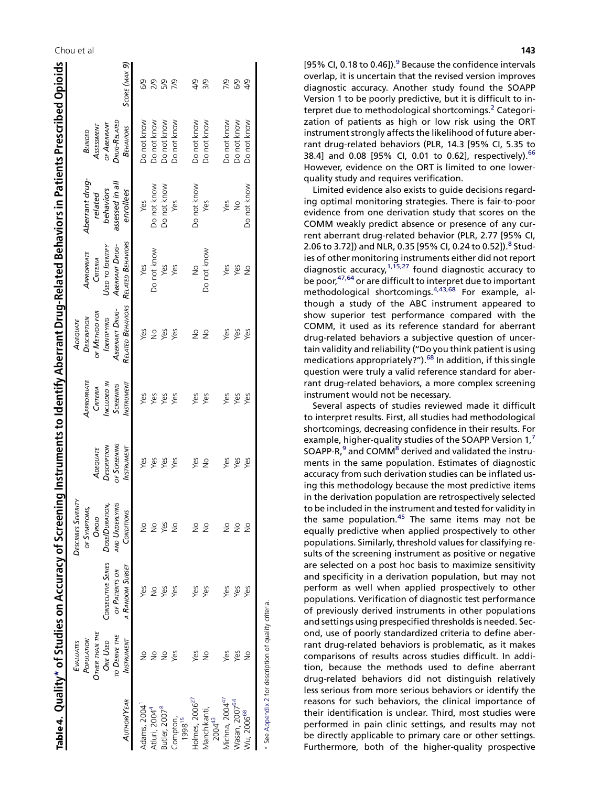<span id="page-12-0"></span>

| Aberrant drug-<br>assessed in all<br>Do not know<br>Do not know<br>Do not know<br>Do not know<br>behaviors<br>enrollees<br>related<br>Yes<br>Yes<br>yes<br>Yes<br>ş<br>RELATED BEHAVIORS<br>ABERRANT DRUG-<br>Used to Identify<br>Do not know<br>Do not know<br>APPROPRIATE<br>Сятеяи<br>Yes<br>$\frac{1}{2}$<br>Yes<br>Yes<br>Yes<br>Yes<br>$\frac{1}{2}$<br><b>RELATED BEHAVIORS</b><br>ABERRANT DRUG-<br>ОҒ МЕТНОД ҒОЯ<br>DESCRIPTION<br>DENTIFYING<br>ADEQUATE<br>yes<br>Yes<br>Yes<br>Yes<br>$\frac{1}{2}$<br>Yes<br>Yes<br>$\frac{1}{2}$<br>ş<br>APPROPRIATE<br>INCLUDED IN<br>INSTRUMENT<br><b>SCREENING</b><br>CRITERIA<br>Yes<br>Yes<br>Yes<br>Yes<br>Yes<br>Yes<br>Yes<br>Yes<br>Yes<br>OF SCREENING<br>DESCRIPTION<br>INSTRUMENT<br>ADEQUATE<br>Yes<br>Yes<br>Yes<br>Yes<br>Yes<br>Yes<br>Yes<br>Yes<br>$\frac{1}{2}$<br><b>DESCRIBES SEVERITY</b><br>AND UNDERLYING<br>Dose/Duration,<br>OF SYMPTOMS,<br>CONDITIONS<br>OPIOID<br>Yes<br>$\frac{1}{2}$<br>ş<br>$\frac{1}{2}$<br>Ş<br>Ş<br>$\frac{1}{2}$<br>ş<br>$\frac{1}{2}$<br>CONSECUTIVE SERIES<br>A RANDOM SUBSET<br>OF PATIENTS OR<br>Yes<br>Yes<br>Yes<br>$\frac{1}{2}$<br>Yes<br>Yes<br>yes<br>Yes<br>Ýes<br>OTHER THAN THE<br>TO DERIVE THE<br>POPULATION<br><b>INSTRUMENT</b><br>ONE USED<br>EVALUATES<br>$\frac{1}{2}$<br>yes<br>yes<br>yes<br>$\frac{1}{2}$<br>$\frac{1}{2}$<br>Yes<br>$\frac{1}{2}$<br>Holmes, 2006 <sup>27</sup><br>Michna, 2004 <sup>47</sup><br><b>AUTHOR/YEAR</b><br>Wasan, 2007 <sup>64</sup><br>Adams, 2004<br>Butler, 2007 <sup>8</sup><br>Atluri, 2004 <sup>4</sup><br>Manchikanti<br>Wu, 2006 <sup>68</sup><br>1998 <sup>15</sup><br>200443<br>Compton, |  | Table4. Quality* of Studies on Accuracy of Screeni |  | ing Instruments to Identify Aberrant Drug-Related Behaviors in Patients Prescribed Opioids |  |                  |                    |
|----------------------------------------------------------------------------------------------------------------------------------------------------------------------------------------------------------------------------------------------------------------------------------------------------------------------------------------------------------------------------------------------------------------------------------------------------------------------------------------------------------------------------------------------------------------------------------------------------------------------------------------------------------------------------------------------------------------------------------------------------------------------------------------------------------------------------------------------------------------------------------------------------------------------------------------------------------------------------------------------------------------------------------------------------------------------------------------------------------------------------------------------------------------------------------------------------------------------------------------------------------------------------------------------------------------------------------------------------------------------------------------------------------------------------------------------------------------------------------------------------------------------------------------------------------------------------------------------------------------------------------------------------------|--|----------------------------------------------------|--|--------------------------------------------------------------------------------------------|--|------------------|--------------------|
|                                                                                                                                                                                                                                                                                                                                                                                                                                                                                                                                                                                                                                                                                                                                                                                                                                                                                                                                                                                                                                                                                                                                                                                                                                                                                                                                                                                                                                                                                                                                                                                                                                                          |  |                                                    |  |                                                                                            |  |                  |                    |
|                                                                                                                                                                                                                                                                                                                                                                                                                                                                                                                                                                                                                                                                                                                                                                                                                                                                                                                                                                                                                                                                                                                                                                                                                                                                                                                                                                                                                                                                                                                                                                                                                                                          |  |                                                    |  |                                                                                            |  | BLINDED          |                    |
|                                                                                                                                                                                                                                                                                                                                                                                                                                                                                                                                                                                                                                                                                                                                                                                                                                                                                                                                                                                                                                                                                                                                                                                                                                                                                                                                                                                                                                                                                                                                                                                                                                                          |  |                                                    |  |                                                                                            |  | ASSESSMENT       |                    |
|                                                                                                                                                                                                                                                                                                                                                                                                                                                                                                                                                                                                                                                                                                                                                                                                                                                                                                                                                                                                                                                                                                                                                                                                                                                                                                                                                                                                                                                                                                                                                                                                                                                          |  |                                                    |  |                                                                                            |  | OF ABERRANT      |                    |
|                                                                                                                                                                                                                                                                                                                                                                                                                                                                                                                                                                                                                                                                                                                                                                                                                                                                                                                                                                                                                                                                                                                                                                                                                                                                                                                                                                                                                                                                                                                                                                                                                                                          |  |                                                    |  |                                                                                            |  | DRUG-RELATED     |                    |
|                                                                                                                                                                                                                                                                                                                                                                                                                                                                                                                                                                                                                                                                                                                                                                                                                                                                                                                                                                                                                                                                                                                                                                                                                                                                                                                                                                                                                                                                                                                                                                                                                                                          |  |                                                    |  |                                                                                            |  | <b>BEHAVIORS</b> | $Score$ ( $MAX$ 9) |
|                                                                                                                                                                                                                                                                                                                                                                                                                                                                                                                                                                                                                                                                                                                                                                                                                                                                                                                                                                                                                                                                                                                                                                                                                                                                                                                                                                                                                                                                                                                                                                                                                                                          |  |                                                    |  |                                                                                            |  | Do not know      | 6/9                |
|                                                                                                                                                                                                                                                                                                                                                                                                                                                                                                                                                                                                                                                                                                                                                                                                                                                                                                                                                                                                                                                                                                                                                                                                                                                                                                                                                                                                                                                                                                                                                                                                                                                          |  |                                                    |  |                                                                                            |  | Do not know      | 2/9                |
|                                                                                                                                                                                                                                                                                                                                                                                                                                                                                                                                                                                                                                                                                                                                                                                                                                                                                                                                                                                                                                                                                                                                                                                                                                                                                                                                                                                                                                                                                                                                                                                                                                                          |  |                                                    |  |                                                                                            |  | Do not know      | 5/9                |
|                                                                                                                                                                                                                                                                                                                                                                                                                                                                                                                                                                                                                                                                                                                                                                                                                                                                                                                                                                                                                                                                                                                                                                                                                                                                                                                                                                                                                                                                                                                                                                                                                                                          |  |                                                    |  |                                                                                            |  | Do not know      | 7/9                |
|                                                                                                                                                                                                                                                                                                                                                                                                                                                                                                                                                                                                                                                                                                                                                                                                                                                                                                                                                                                                                                                                                                                                                                                                                                                                                                                                                                                                                                                                                                                                                                                                                                                          |  |                                                    |  |                                                                                            |  | Do not know      | 49                 |
|                                                                                                                                                                                                                                                                                                                                                                                                                                                                                                                                                                                                                                                                                                                                                                                                                                                                                                                                                                                                                                                                                                                                                                                                                                                                                                                                                                                                                                                                                                                                                                                                                                                          |  |                                                    |  |                                                                                            |  | Do not know      | 3/9                |
|                                                                                                                                                                                                                                                                                                                                                                                                                                                                                                                                                                                                                                                                                                                                                                                                                                                                                                                                                                                                                                                                                                                                                                                                                                                                                                                                                                                                                                                                                                                                                                                                                                                          |  |                                                    |  |                                                                                            |  | Do not know      | 2/0                |
|                                                                                                                                                                                                                                                                                                                                                                                                                                                                                                                                                                                                                                                                                                                                                                                                                                                                                                                                                                                                                                                                                                                                                                                                                                                                                                                                                                                                                                                                                                                                                                                                                                                          |  |                                                    |  |                                                                                            |  | Do not know      | 6/9                |
|                                                                                                                                                                                                                                                                                                                                                                                                                                                                                                                                                                                                                                                                                                                                                                                                                                                                                                                                                                                                                                                                                                                                                                                                                                                                                                                                                                                                                                                                                                                                                                                                                                                          |  |                                                    |  |                                                                                            |  | Do not know      | 4/9                |

\* See Appendix 2 for description of quality criteria.

See Appendix 2 for description of quality criteria

[[9](#page-14-0)5% CI, 0.18 to 0.46]). $9$  Because the confidence intervals overlap, it is uncertain that the revised version improves diagnostic accuracy. Another study found the SOAPP Version 1 to be poorly predictive, but it is difficult to interpret due to methodological shortcomings. $2$  Categorization of patients as high or low risk using the ORT instrument strongly affects the likelihood of future aberrant drug-related behaviors (PLR, 14.3 [95% CI, 5.35 to 38.4] and 0.08 [95% CI, 0.01 to 0.62], respectively).<sup>[66](#page-15-0)</sup> However, evidence on the ORT is limited to one lowerquality study and requires verification.

Limited evidence also exists to guide decisions regarding optimal monitoring strategies. There is fair-to-poor evidence from one derivation study that scores on the COMM weakly predict absence or presence of any current aberrant drug-related behavior (PLR, 2.77 [95% CI, 2.06 to 3.72]) and NLR, 0.35 [95% CI, 0.24 to 0.52]).<sup>[8](#page-14-0)</sup> Studies of other monitoring instruments either did not report diagnostic accuracy,  $1,15,27$  found diagnostic accuracy to be poor,[47,64](#page-15-0) or are difficult to interpret due to important methodological shortcomings.[4,43,68](#page-14-0) For example, although a study of the ABC instrument appeared to show superior test performance compared with the COMM, it used as its reference standard for aberrant drug-related behaviors a subjective question of uncertain validity and reliability (''Do you think patient is using medications appropriately?'').[68](#page-15-0) In addition, if this single question were truly a valid reference standard for aberrant drug-related behaviors, a more complex screening instrument would not be necessary.

Several aspects of studies reviewed made it difficult to interpret results. First, all studies had methodological shortcomings, decreasing confidence in their results. For example, higher-quality studies of the SOAPP Version 1,<sup>7</sup> SOAPP-R, $9$  and COMM $8$  derived and validated the instruments in the same population. Estimates of diagnostic accuracy from such derivation studies can be inflated using this methodology because the most predictive items in the derivation population are retrospectively selected to be included in the instrument and tested for validity in the same population. $45$  The same items may not be equally predictive when applied prospectively to other populations. Similarly, threshold values for classifying results of the screening instrument as positive or negative are selected on a post hoc basis to maximize sensitivity and specificity in a derivation population, but may not perform as well when applied prospectively to other populations. Verification of diagnostic test performance of previously derived instruments in other populations and settings using prespecified thresholds is needed. Second, use of poorly standardized criteria to define aberrant drug-related behaviors is problematic, as it makes comparisons of results across studies difficult. In addition, because the methods used to define aberrant drug-related behaviors did not distinguish relatively less serious from more serious behaviors or identify the reasons for such behaviors, the clinical importance of their identification is unclear. Third, most studies were performed in pain clinic settings, and results may not be directly applicable to primary care or other settings. Furthermore, both of the higher-quality prospective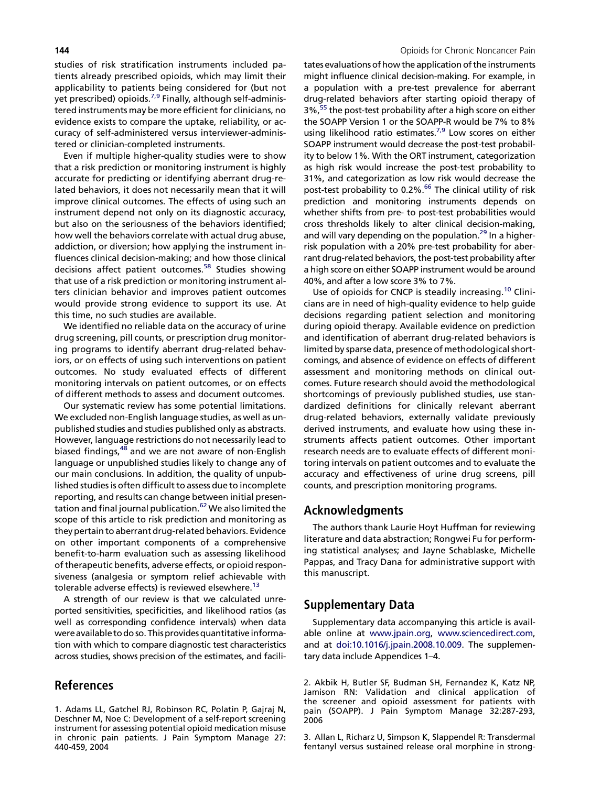<span id="page-13-0"></span>Even if multiple higher-quality studies were to show that a risk prediction or monitoring instrument is highly accurate for predicting or identifying aberrant drug-related behaviors, it does not necessarily mean that it will improve clinical outcomes. The effects of using such an instrument depend not only on its diagnostic accuracy, but also on the seriousness of the behaviors identified; how well the behaviors correlate with actual drug abuse, addiction, or diversion; how applying the instrument influences clinical decision-making; and how those clinical decisions affect patient outcomes.<sup>[58](#page-15-0)</sup> Studies showing that use of a risk prediction or monitoring instrument alters clinician behavior and improves patient outcomes would provide strong evidence to support its use. At this time, no such studies are available.

We identified no reliable data on the accuracy of urine drug screening, pill counts, or prescription drug monitoring programs to identify aberrant drug-related behaviors, or on effects of using such interventions on patient outcomes. No study evaluated effects of different monitoring intervals on patient outcomes, or on effects of different methods to assess and document outcomes.

Our systematic review has some potential limitations. We excluded non-English language studies, as well as unpublished studies and studies published only as abstracts. However, language restrictions do not necessarily lead to biased findings,<sup>[48](#page-15-0)</sup> and we are not aware of non-English language or unpublished studies likely to change any of our main conclusions. In addition, the quality of unpublished studies is often difficult to assess due to incomplete reporting, and results can change between initial presentation and final journal publication[.62](#page-15-0) We also limited the scope of this article to risk prediction and monitoring as they pertain to aberrant drug-related behaviors. Evidence on other important components of a comprehensive benefit-to-harm evaluation such as assessing likelihood of therapeutic benefits, adverse effects, or opioid responsiveness (analgesia or symptom relief achievable with tolerable adverse effects) is reviewed elsewhere.<sup>13</sup>

A strength of our review is that we calculated unreported sensitivities, specificities, and likelihood ratios (as well as corresponding confidence intervals) when data were available to do so. This provides quantitative information with which to compare diagnostic test characteristics across studies, shows precision of the estimates, and facili-

## References

1. Adams LL, Gatchel RJ, Robinson RC, Polatin P, Gajraj N, Deschner M, Noe C: Development of a self-report screening instrument for assessing potential opioid medication misuse in chronic pain patients. J Pain Symptom Manage 27: 440-459, 2004

tates evaluations of how the application of the instruments might influence clinical decision-making. For example, in a population with a pre-test prevalence for aberrant drug-related behaviors after starting opioid therapy of 3%,<sup>55</sup> the post-test probability after a high score on either the SOAPP Version 1 or the SOAPP-R would be 7% to 8% using likelihood ratio estimates.<sup>7,9</sup> Low scores on either SOAPP instrument would decrease the post-test probability to below 1%. With the ORT instrument, categorization as high risk would increase the post-test probability to 31%, and categorization as low risk would decrease the post-test probability to 0.2%.<sup>66</sup> The clinical utility of risk prediction and monitoring instruments depends on whether shifts from pre- to post-test probabilities would cross thresholds likely to alter clinical decision-making, and will vary depending on the population.<sup>29</sup> In a higherrisk population with a 20% pre-test probability for aberrant drug-related behaviors, the post-test probability after a high score on either SOAPP instrument would be around 40%, and after a low score 3% to 7%.

Use of opioids for CNCP is steadily increasing.<sup>[10](#page-14-0)</sup> Clinicians are in need of high-quality evidence to help guide decisions regarding patient selection and monitoring during opioid therapy. Available evidence on prediction and identification of aberrant drug-related behaviors is limited by sparse data, presence of methodological shortcomings, and absence of evidence on effects of different assessment and monitoring methods on clinical outcomes. Future research should avoid the methodological shortcomings of previously published studies, use standardized definitions for clinically relevant aberrant drug-related behaviors, externally validate previously derived instruments, and evaluate how using these instruments affects patient outcomes. Other important research needs are to evaluate effects of different monitoring intervals on patient outcomes and to evaluate the accuracy and effectiveness of urine drug screens, pill counts, and prescription monitoring programs.

## Acknowledgments

The authors thank Laurie Hoyt Huffman for reviewing literature and data abstraction; Rongwei Fu for performing statistical analyses; and Jayne Schablaske, Michelle Pappas, and Tracy Dana for administrative support with this manuscript.

## Supplementary Data

Supplementary data accompanying this article is available online at [www.jpain.org](http://www.jpain.org), [www.sciencedirect.com,](http://www.sciencedirect.com) and at [doi:10.1016/j.jpain.2008.10.009.](http://dx.doi.org/doi:10.1016/j.jpain.2008.10.009) The supplementary data include Appendices 1–4.

2. Akbik H, Butler SF, Budman SH, Fernandez K, Katz NP, Jamison RN: Validation and clinical application of the screener and opioid assessment for patients with pain (SOAPP). J Pain Symptom Manage 32:287-293, 2006

3. Allan L, Richarz U, Simpson K, Slappendel R: Transdermal fentanyl versus sustained release oral morphine in strong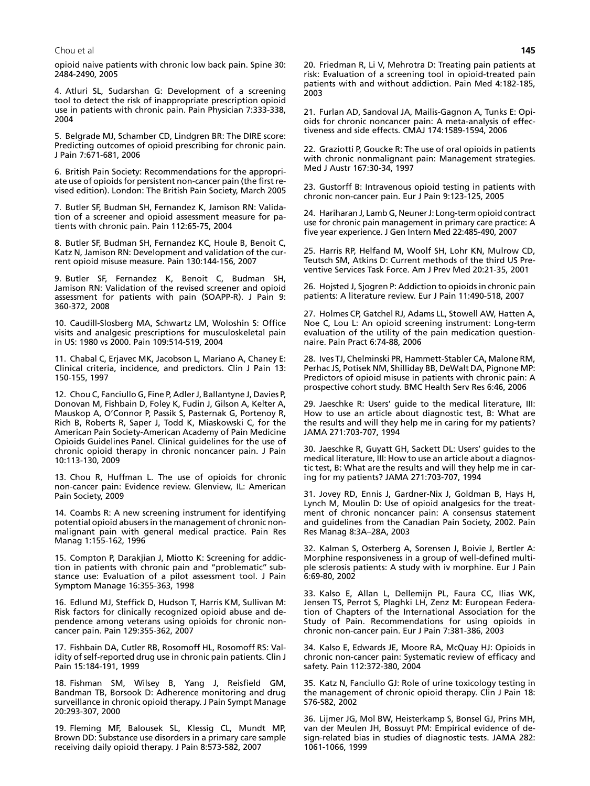<span id="page-14-0"></span>Chou et al **145** 

opioid naive patients with chronic low back pain. Spine 30: 2484-2490, 2005

4. Atluri SL, Sudarshan G: Development of a screening tool to detect the risk of inappropriate prescription opioid use in patients with chronic pain. Pain Physician 7:333-338, 2004

5. Belgrade MJ, Schamber CD, Lindgren BR: The DIRE score: Predicting outcomes of opioid prescribing for chronic pain. J Pain 7:671-681, 2006

6. British Pain Society: Recommendations for the appropriate use of opioids for persistent non-cancer pain (the first revised edition). London: The British Pain Society, March 2005

7. Butler SF, Budman SH, Fernandez K, Jamison RN: Validation of a screener and opioid assessment measure for patients with chronic pain. Pain 112:65-75, 2004

8. Butler SF, Budman SH, Fernandez KC, Houle B, Benoit C, Katz N, Jamison RN: Development and validation of the current opioid misuse measure. Pain 130:144-156, 2007

9. Butler SF, Fernandez K, Benoit C, Budman SH, Jamison RN: Validation of the revised screener and opioid assessment for patients with pain (SOAPP-R). J Pain 9: 360-372, 2008

10. Caudill-Slosberg MA, Schwartz LM, Woloshin S: Office visits and analgesic prescriptions for musculoskeletal pain in US: 1980 vs 2000. Pain 109:514-519, 2004

11. Chabal C, Erjavec MK, Jacobson L, Mariano A, Chaney E: Clinical criteria, incidence, and predictors. Clin J Pain 13: 150-155, 1997

12. Chou C, Fanciullo G, Fine P, Adler J, Ballantyne J, Davies P, Donovan M, Fishbain D, Foley K, Fudin J, Gilson A, Kelter A, Mauskop A, O'Connor P, Passik S, Pasternak G, Portenoy R, Rich B, Roberts R, Saper J, Todd K, Miaskowski C, for the American Pain Society-American Academy of Pain Medicine Opioids Guidelines Panel. Clinical guidelines for the use of chronic opioid therapy in chronic noncancer pain. J Pain 10:113-130, 2009

13. Chou R, Huffman L. The use of opioids for chronic non-cancer pain: Evidence review. Glenview, IL: American Pain Society, 2009

14. Coambs R: A new screening instrument for identifying potential opioid abusers in the management of chronic nonmalignant pain with general medical practice. Pain Res Manag 1:155-162, 1996

15. Compton P, Darakjian J, Miotto K: Screening for addiction in patients with chronic pain and ''problematic'' substance use: Evaluation of a pilot assessment tool. J Pain Symptom Manage 16:355-363, 1998

16. Edlund MJ, Steffick D, Hudson T, Harris KM, Sullivan M: Risk factors for clinically recognized opioid abuse and dependence among veterans using opioids for chronic noncancer pain. Pain 129:355-362, 2007

17. Fishbain DA, Cutler RB, Rosomoff HL, Rosomoff RS: Validity of self-reported drug use in chronic pain patients. Clin J Pain 15:184-191, 1999

18. Fishman SM, Wilsey B, Yang J, Reisfield GM, Bandman TB, Borsook D: Adherence monitoring and drug surveillance in chronic opioid therapy. J Pain Sympt Manage 20:293-307, 2000

19. Fleming MF, Balousek SL, Klessig CL, Mundt MP, Brown DD: Substance use disorders in a primary care sample receiving daily opioid therapy. J Pain 8:573-582, 2007

20. Friedman R, Li V, Mehrotra D: Treating pain patients at risk: Evaluation of a screening tool in opioid-treated pain patients with and without addiction. Pain Med 4:182-185, 2003

21. Furlan AD, Sandoval JA, Mailis-Gagnon A, Tunks E: Opioids for chronic noncancer pain: A meta-analysis of effectiveness and side effects. CMAJ 174:1589-1594, 2006

22. Graziotti P, Goucke R: The use of oral opioids in patients with chronic nonmalignant pain: Management strategies. Med J Austr 167:30-34, 1997

23. Gustorff B: Intravenous opioid testing in patients with chronic non-cancer pain. Eur J Pain 9:123-125, 2005

24. Hariharan J, Lamb G, Neuner J: Long-term opioid contract use for chronic pain management in primary care practice: A five year experience. J Gen Intern Med 22:485-490, 2007

25. Harris RP, Helfand M, Woolf SH, Lohr KN, Mulrow CD, Teutsch SM, Atkins D: Current methods of the third US Preventive Services Task Force. Am J Prev Med 20:21-35, 2001

26. Hojsted J, Sjogren P: Addiction to opioids in chronic pain patients: A literature review. Eur J Pain 11:490-518, 2007

27. Holmes CP, Gatchel RJ, Adams LL, Stowell AW, Hatten A, Noe C, Lou L: An opioid screening instrument: Long-term evaluation of the utility of the pain medication questionnaire. Pain Pract 6:74-88, 2006

28. Ives TJ, Chelminski PR, Hammett-Stabler CA, Malone RM, Perhac JS, Potisek NM, Shilliday BB, DeWalt DA, Pignone MP: Predictors of opioid misuse in patients with chronic pain: A prospective cohort study. BMC Health Serv Res 6:46, 2006

29. Jaeschke R: Users' guide to the medical literature, III: How to use an article about diagnostic test, B: What are the results and will they help me in caring for my patients? JAMA 271:703-707, 1994

30. Jaeschke R, Guyatt GH, Sackett DL: Users' guides to the medical literature, III: How to use an article about a diagnostic test, B: What are the results and will they help me in caring for my patients? JAMA 271:703-707, 1994

31. Jovey RD, Ennis J, Gardner-Nix J, Goldman B, Hays H, Lynch M, Moulin D: Use of opioid analgesics for the treatment of chronic noncancer pain: A consensus statement and guidelines from the Canadian Pain Society, 2002. Pain Res Manag 8:3A–28A, 2003

32. Kalman S, Osterberg A, Sorensen J, Boivie J, Bertler A: Morphine responsiveness in a group of well-defined multiple sclerosis patients: A study with iv morphine. Eur J Pain 6:69-80, 2002

33. Kalso E, Allan L, Dellemijn PL, Faura CC, Ilias WK, Jensen TS, Perrot S, Plaghki LH, Zenz M: European Federation of Chapters of the International Association for the Study of Pain. Recommendations for using opioids in chronic non-cancer pain. Eur J Pain 7:381-386, 2003

34. Kalso E, Edwards JE, Moore RA, McQuay HJ: Opioids in chronic non-cancer pain: Systematic review of efficacy and safety. Pain 112:372-380, 2004

35. Katz N, Fanciullo GJ: Role of urine toxicology testing in the management of chronic opioid therapy. Clin J Pain 18: S76-S82, 2002

36. Lijmer JG, Mol BW, Heisterkamp S, Bonsel GJ, Prins MH, van der Meulen JH, Bossuyt PM: Empirical evidence of design-related bias in studies of diagnostic tests. JAMA 282: 1061-1066, 1999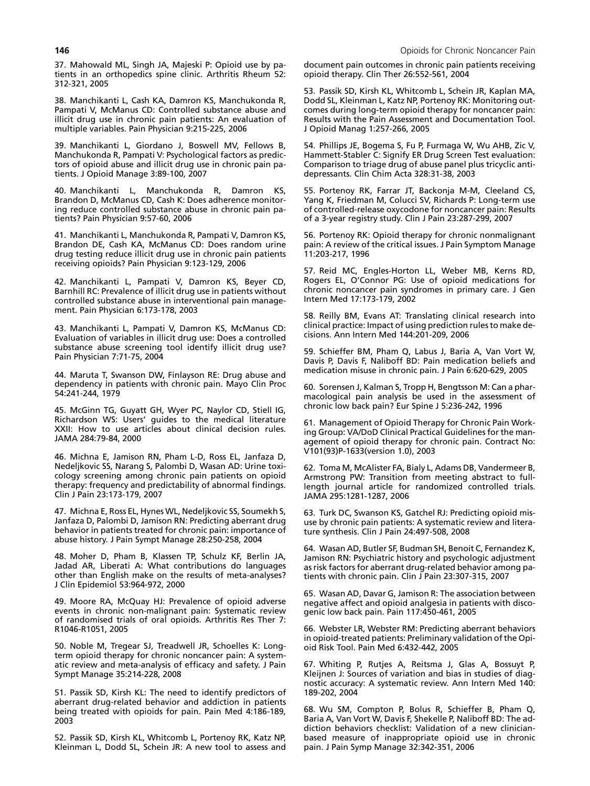<span id="page-15-0"></span>**146 Community Community Community Community Community Community Community Community Community Community Community Community Community Community Community Community Community Community Community Community Community Commu** 

37. Mahowald ML, Singh JA, Majeski P: Opioid use by patients in an orthopedics spine clinic. Arthritis Rheum 52: 312-321, 2005

38. Manchikanti L, Cash KA, Damron KS, Manchukonda R, Pampati V, McManus CD: Controlled substance abuse and illicit drug use in chronic pain patients: An evaluation of multiple variables. Pain Physician 9:215-225, 2006

39. Manchikanti L, Giordano J, Boswell MV, Fellows B, Manchukonda R, Pampati V: Psychological factors as predictors of opioid abuse and illicit drug use in chronic pain patients. J Opioid Manage 3:89-100, 2007

40. Manchikanti L, Manchukonda R, Damron KS, Brandon D, McManus CD, Cash K: Does adherence monitoring reduce controlled substance abuse in chronic pain patients? Pain Physician 9:57-60, 2006

41. Manchikanti L, Manchukonda R, Pampati V, Damron KS, Brandon DE, Cash KA, McManus CD: Does random urine drug testing reduce illicit drug use in chronic pain patients receiving opioids? Pain Physician 9:123-129, 2006

42. Manchikanti L, Pampati V, Damron KS, Beyer CD, Barnhill RC: Prevalence of illicit drug use in patients without controlled substance abuse in interventional pain management. Pain Physician 6:173-178, 2003

43. Manchikanti L, Pampati V, Damron KS, McManus CD: Evaluation of variables in illicit drug use: Does a controlled substance abuse screening tool identify illicit drug use? Pain Physician 7:71-75, 2004

44. Maruta T, Swanson DW, Finlayson RE: Drug abuse and dependency in patients with chronic pain. Mayo Clin Proc 54:241-244, 1979

45. McGinn TG, Guyatt GH, Wyer PC, Naylor CD, Stiell IG, Richardson WS: Users' guides to the medical literature XXII: How to use articles about clinical decision rules. JAMA 284:79-84, 2000

46. Michna E, Jamison RN, Pham L-D, Ross EL, Janfaza D, Nedeljkovic SS, Narang S, Palombi D, Wasan AD: Urine toxicology screening among chronic pain patients on opioid therapy: frequency and predictability of abnormal findings. Clin J Pain 23:173-179, 2007

47. Michna E, Ross EL, Hynes WL, Nedeljkovic SS, Soumekh S, Janfaza D, Palombi D, Jamison RN: Predicting aberrant drug behavior in patients treated for chronic pain: importance of abuse history. J Pain Sympt Manage 28:250-258, 2004

48. Moher D, Pham B, Klassen TP, Schulz KF, Berlin JA, Jadad AR, Liberati A: What contributions do languages other than English make on the results of meta-analyses? J Clin Epidemiol 53:964-972, 2000

49. Moore RA, McQuay HJ: Prevalence of opioid adverse events in chronic non-malignant pain: Systematic review of randomised trials of oral opioids. Arthritis Res Ther 7: R1046-R1051, 2005

50. Noble M, Tregear SJ, Treadwell JR, Schoelles K: Longterm opioid therapy for chronic noncancer pain: A systematic review and meta-analysis of efficacy and safety. J Pain Sympt Manage 35:214-228, 2008

51. Passik SD, Kirsh KL: The need to identify predictors of aberrant drug-related behavior and addiction in patients being treated with opioids for pain. Pain Med 4:186-189, 2003

52. Passik SD, Kirsh KL, Whitcomb L, Portenoy RK, Katz NP, Kleinman L, Dodd SL, Schein JR: A new tool to assess and

document pain outcomes in chronic pain patients receiving opioid therapy. Clin Ther 26:552-561, 2004

53. Passik SD, Kirsh KL, Whitcomb L, Schein JR, Kaplan MA, Dodd SL, Kleinman L, Katz NP, Portenoy RK: Monitoring outcomes during long-term opioid therapy for noncancer pain: Results with the Pain Assessment and Documentation Tool. J Opioid Manag 1:257-266, 2005

54. Phillips JE, Bogema S, Fu P, Furmaga W, Wu AHB, Zic V, Hammett-Stabler C: Signify ER Drug Screen Test evaluation: Comparison to triage drug of abuse panel plus tricyclic antidepressants. Clin Chim Acta 328:31-38, 2003

55. Portenoy RK, Farrar JT, Backonja M-M, Cleeland CS, Yang K, Friedman M, Colucci SV, Richards P: Long-term use of controlled-release oxycodone for noncancer pain: Results of a 3-year registry study. Clin J Pain 23:287-299, 2007

56. Portenoy RK: Opioid therapy for chronic nonmalignant pain: A review of the critical issues. J Pain Symptom Manage 11:203-217, 1996

57. Reid MC, Engles-Horton LL, Weber MB, Kerns RD, Rogers EL, O'Connor PG: Use of opioid medications for chronic noncancer pain syndromes in primary care. J Gen Intern Med 17:173-179, 2002

58. Reilly BM, Evans AT: Translating clinical research into clinical practice: Impact of using prediction rules to make decisions. Ann Intern Med 144:201-209, 2006

59. Schieffer BM, Pham Q, Labus J, Baria A, Van Vort W, Davis P, Davis F, Naliboff BD: Pain medication beliefs and medication misuse in chronic pain. J Pain 6:620-629, 2005

60. Sorensen J, Kalman S, Tropp H, Bengtsson M: Can a pharmacological pain analysis be used in the assessment of chronic low back pain? Eur Spine J 5:236-242, 1996

61. Management of Opioid Therapy for Chronic Pain Working Group: VA/DoD Clinical Practical Guidelines for the management of opioid therapy for chronic pain. Contract No: V101(93)P-1633(version 1.0), 2003

62. Toma M, McAlister FA, Bialy L, Adams DB, Vandermeer B, Armstrong PW: Transition from meeting abstract to fulllength journal article for randomized controlled trials. JAMA 295:1281-1287, 2006

63. Turk DC, Swanson KS, Gatchel RJ: Predicting opioid misuse by chronic pain patients: A systematic review and literature synthesis. Clin J Pain 24:497-508, 2008

64. Wasan AD, Butler SF, Budman SH, Benoit C, Fernandez K, Jamison RN: Psychiatric history and psychologic adjustment as risk factors for aberrant drug-related behavior among patients with chronic pain. Clin J Pain 23:307-315, 2007

65. Wasan AD, Davar G, Jamison R: The association between negative affect and opioid analgesia in patients with discogenic low back pain. Pain 117:450-461, 2005

66. Webster LR, Webster RM: Predicting aberrant behaviors in opioid-treated patients: Preliminary validation of the Opioid Risk Tool. Pain Med 6:432-442, 2005

67. Whiting P, Rutjes A, Reitsma J, Glas A, Bossuyt P, Kleijnen J: Sources of variation and bias in studies of diagnostic accuracy: A systematic review. Ann Intern Med 140: 189-202, 2004

68. Wu SM, Compton P, Bolus R, Schieffer B, Pham Q, Baria A, Van Vort W, Davis F, Shekelle P, Naliboff BD: The addiction behaviors checklist: Validation of a new clinicianbased measure of inappropriate opioid use in chronic pain. J Pain Symp Manage 32:342-351, 2006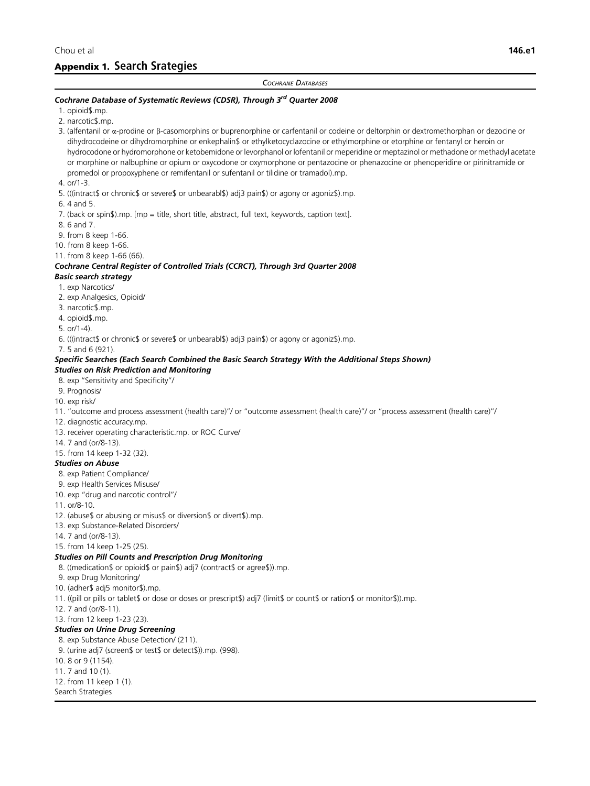## Appendix 1. Search Srategies

#### COCHRANE DATABASES

#### Cochrane Database of Systematic Reviews (CDSR), Through 3rd Quarter 2008

- 1. opioid\$.mp.
- 2. narcotic\$.mp.
- 3. (alfentanil or *α*-prodine or β-casomorphins or buprenorphine or carfentanil or codeine or deltorphin or dextromethorphan or dezocine or dihydrocodeine or dihydromorphine or enkephalin\$ or ethylketocyclazocine or ethylmorphine or etorphine or fentanyl or heroin or hydrocodone or hydromorphone or ketobemidone or levorphanol or lofentanil or meperidine or meptazinol or methadone or methadyl acetate or morphine or nalbuphine or opium or oxycodone or oxymorphone or pentazocine or phenazocine or phenoperidine or pirinitramide or promedol or propoxyphene or remifentanil or sufentanil or tilidine or tramadol).mp.
- 4. or/1-3.
- 5. (((intract\$ or chronic\$ or severe\$ or unbearabl\$) adj3 pain\$) or agony or agoniz\$).mp.
- 6. 4 and 5.
- 7. (back or spin\$).mp. [mp = title, short title, abstract, full text, keywords, caption text].
- 8. 6 and 7.
- 9. from 8 keep 1-66.
- 10. from 8 keep 1-66.
- 11. from 8 keep 1-66 (66).

#### Cochrane Central Register of Controlled Trials (CCRCT), Through 3rd Quarter 2008

- Basic search strategy
- 1. exp Narcotics/
- 2. exp Analgesics, Opioid/
- 3. narcotic\$.mp.
- 4. opioid\$.mp.
- 5. or/1-4).
- 6. (((intract\$ or chronic\$ or severe\$ or unbearabl\$) adj3 pain\$) or agony or agoniz\$).mp.
- 7. 5 and 6 (921).

#### Specific Searches (Each Search Combined the Basic Search Strategy With the Additional Steps Shown)

- Studies on Risk Prediction and Monitoring
- 8. exp ''Sensitivity and Specificity''/
- 9. Prognosis/
- 10. exp risk/
- 11. ''outcome and process assessment (health care)''/ or ''outcome assessment (health care)''/ or ''process assessment (health care)''/
- 12. diagnostic accuracy.mp.
- 13. receiver operating characteristic.mp. or ROC Curve/
- 14. 7 and (or/8-13).
- 15. from 14 keep 1-32 (32).

#### Studies on Abuse

- 8. exp Patient Compliance/
- 9. exp Health Services Misuse/
- 10. exp ''drug and narcotic control''/
- 11. or/8-10.
- 12. (abuse\$ or abusing or misus\$ or diversion\$ or divert\$).mp.
- 13. exp Substance-Related Disorders/
- 14. 7 and (or/8-13).
- 15. from 14 keep 1-25 (25).

#### Studies on Pill Counts and Prescription Drug Monitoring

- 8. ((medication\$ or opioid\$ or pain\$) adj7 (contract\$ or agree\$)).mp.
- 9. exp Drug Monitoring/
- 10. (adher\$ adj5 monitor\$).mp.
- 11. ((pill or pills or tablet\$ or dose or doses or prescript\$) adj7 (limit\$ or count\$ or ration\$ or monitor\$)).mp.
- 12. 7 and (or/8-11).
- 13. from 12 keep 1-23 (23).

#### Studies on Urine Drug Screening

- 8. exp Substance Abuse Detection/ (211).
- 9. (urine adj7 (screen\$ or test\$ or detect\$)).mp. (998).
- 10. 8 or 9 (1154).
- 11. 7 and 10 (1).
- 12. from 11 keep 1 (1).
- Search Strategies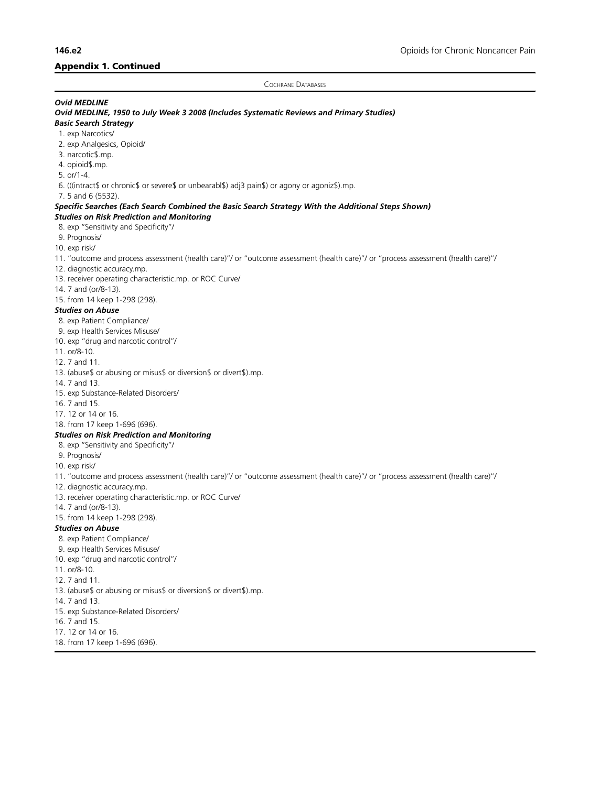#### Appendix 1. Continued

COCHRANE DATABASES

#### Ovid MEDLINE

Ovid MEDLINE, 1950 to July Week 3 2008 (Includes Systematic Reviews and Primary Studies) Basic Search Strategy 1. exp Narcotics/ 2. exp Analgesics, Opioid/ 3. narcotic\$.mp. 4. opioid\$.mp. 5. or/1-4. 6. (((intract\$ or chronic\$ or severe\$ or unbearabl\$) adj3 pain\$) or agony or agoniz\$).mp. 7. 5 and 6 (5532). Specific Searches (Each Search Combined the Basic Search Strategy With the Additional Steps Shown) Studies on Risk Prediction and Monitoring 8. exp ''Sensitivity and Specificity''/ 9. Prognosis/ 10. exp risk/ 11. ''outcome and process assessment (health care)''/ or ''outcome assessment (health care)''/ or ''process assessment (health care)''/ 12. diagnostic accuracy.mp. 13. receiver operating characteristic.mp. or ROC Curve/ 14. 7 and (or/8-13). 15. from 14 keep 1-298 (298). Studies on Abuse 8. exp Patient Compliance/ 9. exp Health Services Misuse/ 10. exp ''drug and narcotic control''/ 11. or/8-10. 12. 7 and 11. 13. (abuse\$ or abusing or misus\$ or diversion\$ or divert\$).mp. 14. 7 and 13. 15. exp Substance-Related Disorders/ 16. 7 and 15. 17. 12 or 14 or 16. 18. from 17 keep 1-696 (696). Studies on Risk Prediction and Monitoring 8. exp ''Sensitivity and Specificity''/ 9. Prognosis/ 10. exp risk/ 11. ''outcome and process assessment (health care)''/ or ''outcome assessment (health care)''/ or ''process assessment (health care)''/ 12. diagnostic accuracy.mp. 13. receiver operating characteristic.mp. or ROC Curve/ 14. 7 and (or/8-13). 15. from 14 keep 1-298 (298). Studies on Abuse 8. exp Patient Compliance/ 9. exp Health Services Misuse/ 10. exp ''drug and narcotic control''/ 11. or/8-10. 12. 7 and 11. 13. (abuse\$ or abusing or misus\$ or diversion\$ or divert\$).mp. 14. 7 and 13. 15. exp Substance-Related Disorders/ 16. 7 and 15. 17. 12 or 14 or 16. 18. from 17 keep 1-696 (696).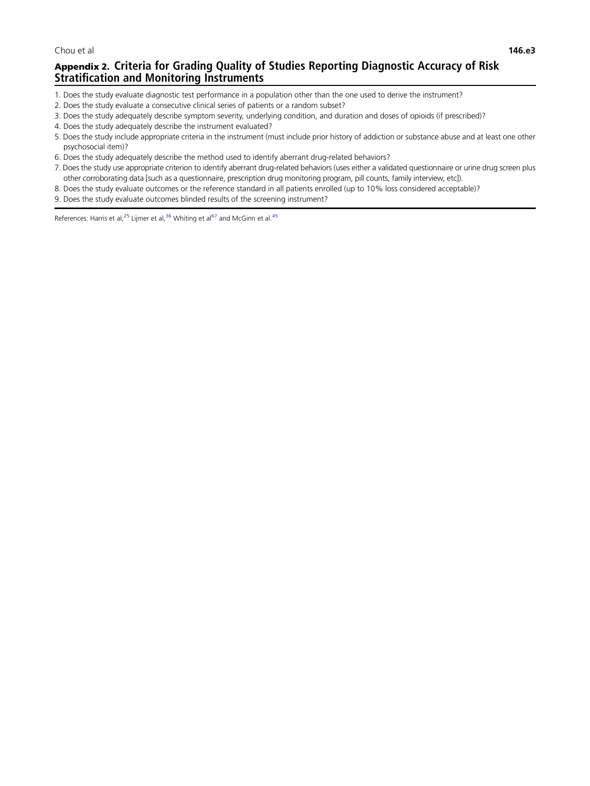## Appendix 2. Criteria for Grading Quality of Studies Reporting Diagnostic Accuracy of Risk Stratification and Monitoring Instruments

- 1. Does the study evaluate diagnostic test performance in a population other than the one used to derive the instrument?
- 2. Does the study evaluate a consecutive clinical series of patients or a random subset?
- 3. Does the study adequately describe symptom severity, underlying condition, and duration and doses of opioids (if prescribed)?
- 4. Does the study adequately describe the instrument evaluated?
- 5. Does the study include appropriate criteria in the instrument (must include prior history of addiction or substance abuse and at least one other psychosocial item)?
- 6. Does the study adequately describe the method used to identify aberrant drug-related behaviors?
- 7. Does the study use appropriate criterion to identify aberrant drug-related behaviors (uses either a validated questionnaire or urine drug screen plus other corroborating data [such as a questionnaire, prescription drug monitoring program, pill counts, family interview, etc]).
- 8. Does the study evaluate outcomes or the reference standard in all patients enrolled (up to 10% loss considered acceptable)?
- 9. Does the study evaluate outcomes blinded results of the screening instrument?

References: Harris et al,<sup>[25](#page-14-0)</sup> Lijmer et al,<sup>[36](#page-14-0)</sup> Whiting et al<sup>[67](#page-15-0)</sup> and McGinn et al.<sup>[45](#page-15-0)</sup>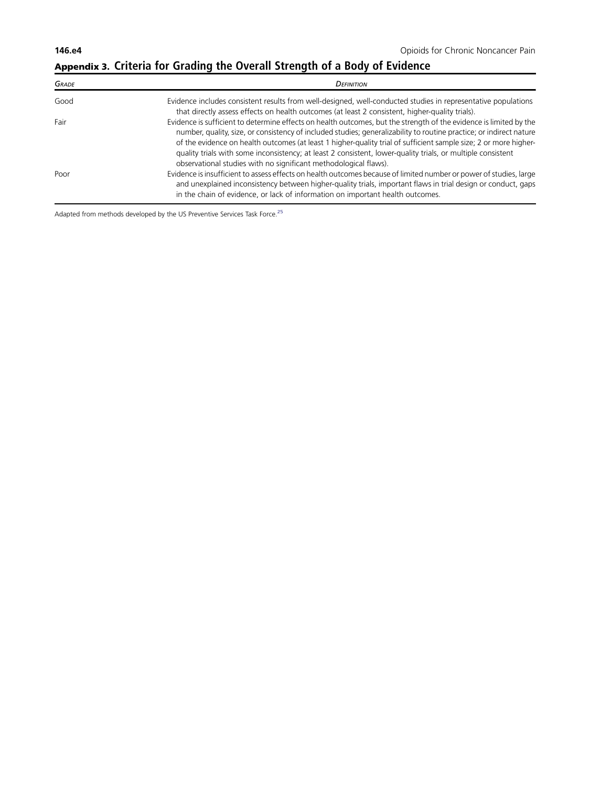## Appendix 3. Criteria for Grading the Overall Strength of a Body of Evidence

| GRADE | <b>DEFINITION</b>                                                                                                                                                                                                                                                                                                                                                                                                                                                                                                                                |
|-------|--------------------------------------------------------------------------------------------------------------------------------------------------------------------------------------------------------------------------------------------------------------------------------------------------------------------------------------------------------------------------------------------------------------------------------------------------------------------------------------------------------------------------------------------------|
| Good  | Evidence includes consistent results from well-designed, well-conducted studies in representative populations<br>that directly assess effects on health outcomes (at least 2 consistent, higher-quality trials).                                                                                                                                                                                                                                                                                                                                 |
| Fair  | Evidence is sufficient to determine effects on health outcomes, but the strength of the evidence is limited by the<br>number, quality, size, or consistency of included studies; generalizability to routine practice; or indirect nature<br>of the evidence on health outcomes (at least 1 higher-quality trial of sufficient sample size; 2 or more higher-<br>quality trials with some inconsistency; at least 2 consistent, lower-quality trials, or multiple consistent<br>observational studies with no significant methodological flaws). |
| Poor  | Evidence is insufficient to assess effects on health outcomes because of limited number or power of studies, large<br>and unexplained inconsistency between higher-quality trials, important flaws in trial design or conduct, gaps<br>in the chain of evidence, or lack of information on important health outcomes.                                                                                                                                                                                                                            |

Adapted from methods developed by the US Preventive Services Task Force.<sup>25</sup>